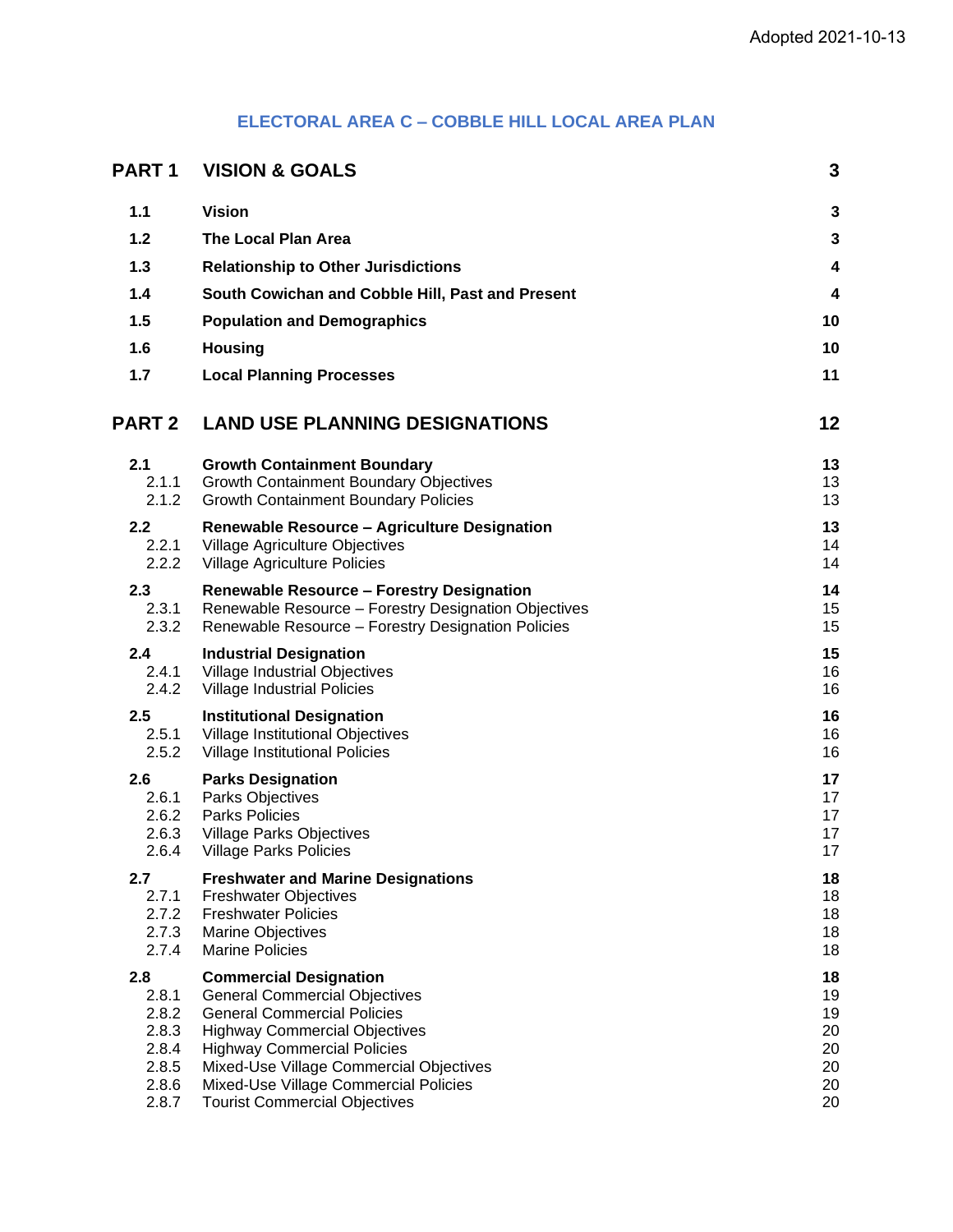# **ELECTORAL AREA C – COBBLE HILL LOCAL AREA PLAN**

| <b>PART1</b>                                                       | <b>VISION &amp; GOALS</b>                                                                                                                                                                                                                                                                                             | 3                                            |
|--------------------------------------------------------------------|-----------------------------------------------------------------------------------------------------------------------------------------------------------------------------------------------------------------------------------------------------------------------------------------------------------------------|----------------------------------------------|
| 1.1                                                                | <b>Vision</b>                                                                                                                                                                                                                                                                                                         | 3                                            |
| $1.2$                                                              | <b>The Local Plan Area</b>                                                                                                                                                                                                                                                                                            | 3                                            |
| 1.3                                                                | <b>Relationship to Other Jurisdictions</b>                                                                                                                                                                                                                                                                            | 4                                            |
| 1.4                                                                | South Cowichan and Cobble Hill, Past and Present                                                                                                                                                                                                                                                                      | 4                                            |
| 1.5                                                                | <b>Population and Demographics</b>                                                                                                                                                                                                                                                                                    | 10                                           |
| 1.6                                                                | <b>Housing</b>                                                                                                                                                                                                                                                                                                        | 10                                           |
| 1.7                                                                | <b>Local Planning Processes</b>                                                                                                                                                                                                                                                                                       | 11                                           |
| <b>PART 2</b>                                                      | <b>LAND USE PLANNING DESIGNATIONS</b>                                                                                                                                                                                                                                                                                 | 12                                           |
| 2.1<br>2.1.1<br>2.1.2                                              | <b>Growth Containment Boundary</b><br><b>Growth Containment Boundary Objectives</b><br><b>Growth Containment Boundary Policies</b>                                                                                                                                                                                    | 13<br>13<br>13                               |
| 2.2<br>2.2.1<br>2.2.2                                              | <b>Renewable Resource - Agriculture Designation</b><br>Village Agriculture Objectives<br><b>Village Agriculture Policies</b>                                                                                                                                                                                          | 13<br>14<br>14                               |
| 2.3<br>2.3.1<br>2.3.2                                              | <b>Renewable Resource - Forestry Designation</b><br>Renewable Resource - Forestry Designation Objectives<br>Renewable Resource - Forestry Designation Policies                                                                                                                                                        | 14<br>15<br>15                               |
| 2.4<br>2.4.1<br>2.4.2                                              | <b>Industrial Designation</b><br>Village Industrial Objectives<br><b>Village Industrial Policies</b>                                                                                                                                                                                                                  | 15<br>16<br>16                               |
| 2.5<br>2.5.1<br>2.5.2                                              | <b>Institutional Designation</b><br>Village Institutional Objectives<br><b>Village Institutional Policies</b>                                                                                                                                                                                                         | 16<br>16<br>16                               |
| 2.6<br>2.6.1<br>2.6.2<br>2.6.3<br>2.6.4                            | <b>Parks Designation</b><br>Parks Objectives<br><b>Parks Policies</b><br><b>Village Parks Objectives</b><br><b>Village Parks Policies</b>                                                                                                                                                                             | 17<br>17<br>17<br>17<br>17                   |
| 2.7<br>2.7.1<br>2.7.2<br>2.7.3<br>2.7.4                            | <b>Freshwater and Marine Designations</b><br><b>Freshwater Objectives</b><br><b>Freshwater Policies</b><br><b>Marine Objectives</b><br><b>Marine Policies</b>                                                                                                                                                         | 18<br>18<br>18<br>18<br>18                   |
| 2.8<br>2.8.1<br>2.8.2<br>2.8.3<br>2.8.4<br>2.8.5<br>2.8.6<br>2.8.7 | <b>Commercial Designation</b><br><b>General Commercial Objectives</b><br><b>General Commercial Policies</b><br><b>Highway Commercial Objectives</b><br><b>Highway Commercial Policies</b><br>Mixed-Use Village Commercial Objectives<br>Mixed-Use Village Commercial Policies<br><b>Tourist Commercial Objectives</b> | 18<br>19<br>19<br>20<br>20<br>20<br>20<br>20 |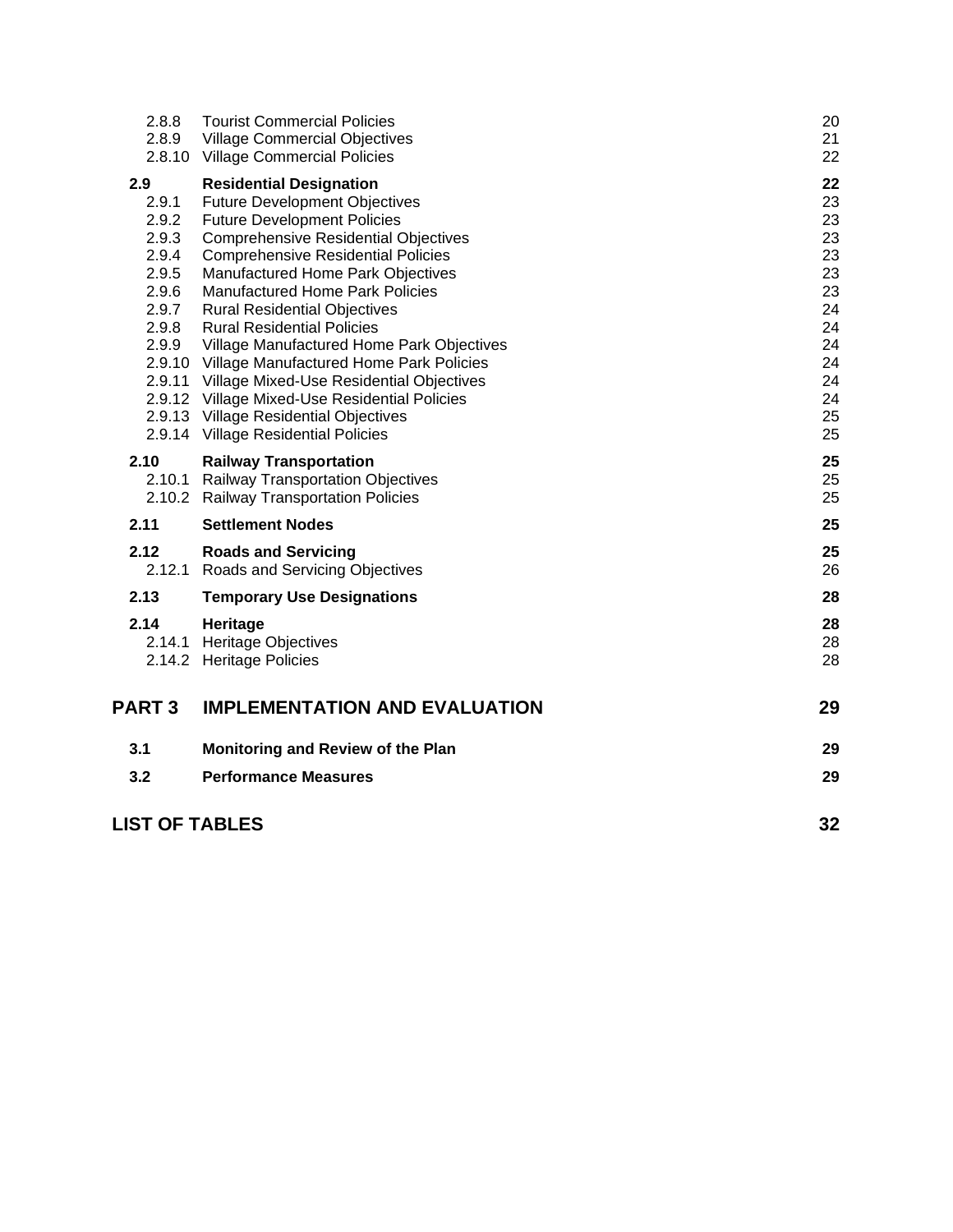| 2.8.8<br>2.8.9                                                                       | <b>Tourist Commercial Policies</b><br><b>Village Commercial Objectives</b><br>2.8.10 Village Commercial Policies                                                                                                                                                                                                                                                                                                                                                                                                                                                                                                                                       | 20<br>21<br>22                                                                         |
|--------------------------------------------------------------------------------------|--------------------------------------------------------------------------------------------------------------------------------------------------------------------------------------------------------------------------------------------------------------------------------------------------------------------------------------------------------------------------------------------------------------------------------------------------------------------------------------------------------------------------------------------------------------------------------------------------------------------------------------------------------|----------------------------------------------------------------------------------------|
| 2.9<br>2.9.1<br>2.9.2<br>2.9.3<br>2.9.4<br>2.9.5<br>2.9.6<br>2.9.7<br>2.9.8<br>2.9.9 | <b>Residential Designation</b><br><b>Future Development Objectives</b><br><b>Future Development Policies</b><br><b>Comprehensive Residential Objectives</b><br><b>Comprehensive Residential Policies</b><br>Manufactured Home Park Objectives<br><b>Manufactured Home Park Policies</b><br><b>Rural Residential Objectives</b><br><b>Rural Residential Policies</b><br>Village Manufactured Home Park Objectives<br>2.9.10 Village Manufactured Home Park Policies<br>2.9.11 Village Mixed-Use Residential Objectives<br>2.9.12 Village Mixed-Use Residential Policies<br>2.9.13 Village Residential Objectives<br>2.9.14 Village Residential Policies | 22<br>23<br>23<br>23<br>23<br>23<br>23<br>24<br>24<br>24<br>24<br>24<br>24<br>25<br>25 |
| 2.10                                                                                 | <b>Railway Transportation</b><br>2.10.1 Railway Transportation Objectives<br>2.10.2 Railway Transportation Policies                                                                                                                                                                                                                                                                                                                                                                                                                                                                                                                                    | 25<br>25<br>25                                                                         |
| 2.11                                                                                 | <b>Settlement Nodes</b>                                                                                                                                                                                                                                                                                                                                                                                                                                                                                                                                                                                                                                | 25                                                                                     |
| 2.12<br>2.12.1                                                                       | <b>Roads and Servicing</b><br>Roads and Servicing Objectives                                                                                                                                                                                                                                                                                                                                                                                                                                                                                                                                                                                           | 25<br>26                                                                               |
| 2.13                                                                                 | <b>Temporary Use Designations</b>                                                                                                                                                                                                                                                                                                                                                                                                                                                                                                                                                                                                                      | 28                                                                                     |
| 2.14                                                                                 | Heritage<br>2.14.1 Heritage Objectives<br>2.14.2 Heritage Policies                                                                                                                                                                                                                                                                                                                                                                                                                                                                                                                                                                                     | 28<br>28<br>28                                                                         |
| <b>PART3</b>                                                                         | <b>IMPLEMENTATION AND EVALUATION</b>                                                                                                                                                                                                                                                                                                                                                                                                                                                                                                                                                                                                                   | 29                                                                                     |
| 3.1                                                                                  | Monitoring and Review of the Plan                                                                                                                                                                                                                                                                                                                                                                                                                                                                                                                                                                                                                      | 29                                                                                     |
| 3.2                                                                                  | <b>Performance Measures</b>                                                                                                                                                                                                                                                                                                                                                                                                                                                                                                                                                                                                                            | 29                                                                                     |
| <b>LIST OF TABLES</b>                                                                |                                                                                                                                                                                                                                                                                                                                                                                                                                                                                                                                                                                                                                                        | 32                                                                                     |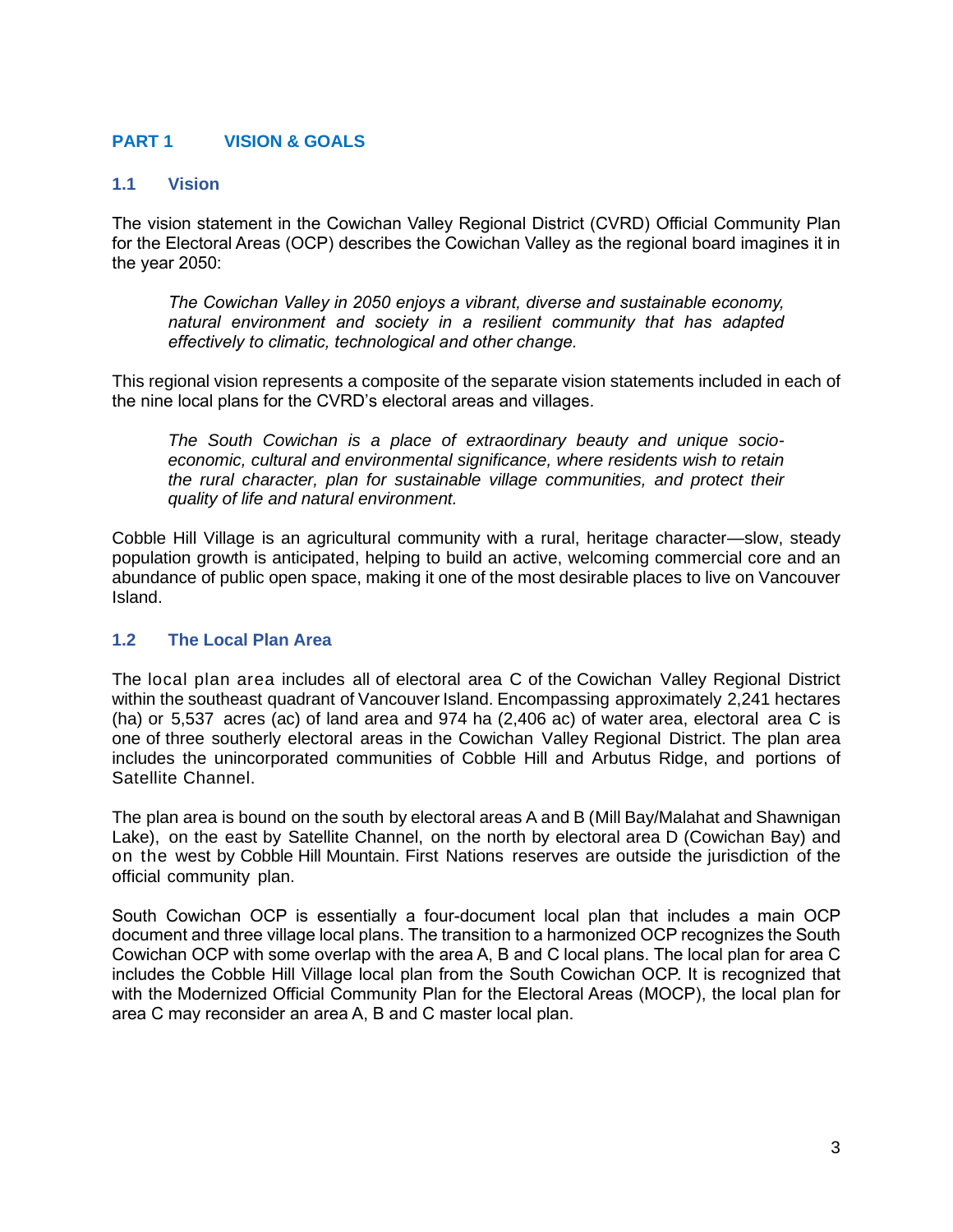# <span id="page-2-0"></span>**PART 1 VISION & GOALS**

# <span id="page-2-1"></span>**1.1 Vision**

The vision statement in the Cowichan Valley Regional District (CVRD) Official Community Plan for the Electoral Areas (OCP) describes the Cowichan Valley as the regional board imagines it in the year 2050:

*The Cowichan Valley in 2050 enjoys a vibrant, diverse and sustainable economy, natural environment and society in a resilient community that has adapted effectively to climatic, technological and other change.*

This regional vision represents a composite of the separate vision statements included in each of the nine local plans for the CVRD's electoral areas and villages.

*The South Cowichan is a place of extraordinary beauty and unique socioeconomic, cultural and environmental significance, where residents wish to retain the rural character, plan for sustainable village communities, and protect their quality of life and natural environment.*

Cobble Hill Village is an agricultural community with a rural, heritage character—slow, steady population growth is anticipated, helping to build an active, welcoming commercial core and an abundance of public open space, making it one of the most desirable places to live on Vancouver Island.

# <span id="page-2-2"></span>**1.2 The Local Plan Area**

The local plan area includes all of electoral area C of the Cowichan Valley Regional District within the southeast quadrant of Vancouver Island. Encompassing approximately 2,241 hectares (ha) or 5,537 acres (ac) of land area and 974 ha (2,406 ac) of water area, electoral area C is one of three southerly electoral areas in the Cowichan Valley Regional District. The plan area includes the unincorporated communities of Cobble Hill and Arbutus Ridge, and portions of Satellite Channel.

The plan area is bound on the south by electoral areas A and B (Mill Bay/Malahat and Shawnigan Lake), on the east by Satellite Channel, on the north by electoral area D (Cowichan Bay) and on the west by Cobble Hill Mountain. First Nations reserves are outside the jurisdiction of the official community plan.

South Cowichan OCP is essentially a four-document local plan that includes a main OCP document and three village local plans. The transition to a harmonized OCP recognizes the South Cowichan OCP with some overlap with the area A, B and C local plans. The local plan for area C includes the Cobble Hill Village local plan from the South Cowichan OCP. It is recognized that with the Modernized Official Community Plan for the Electoral Areas (MOCP), the local plan for area C may reconsider an area A, B and C master local plan.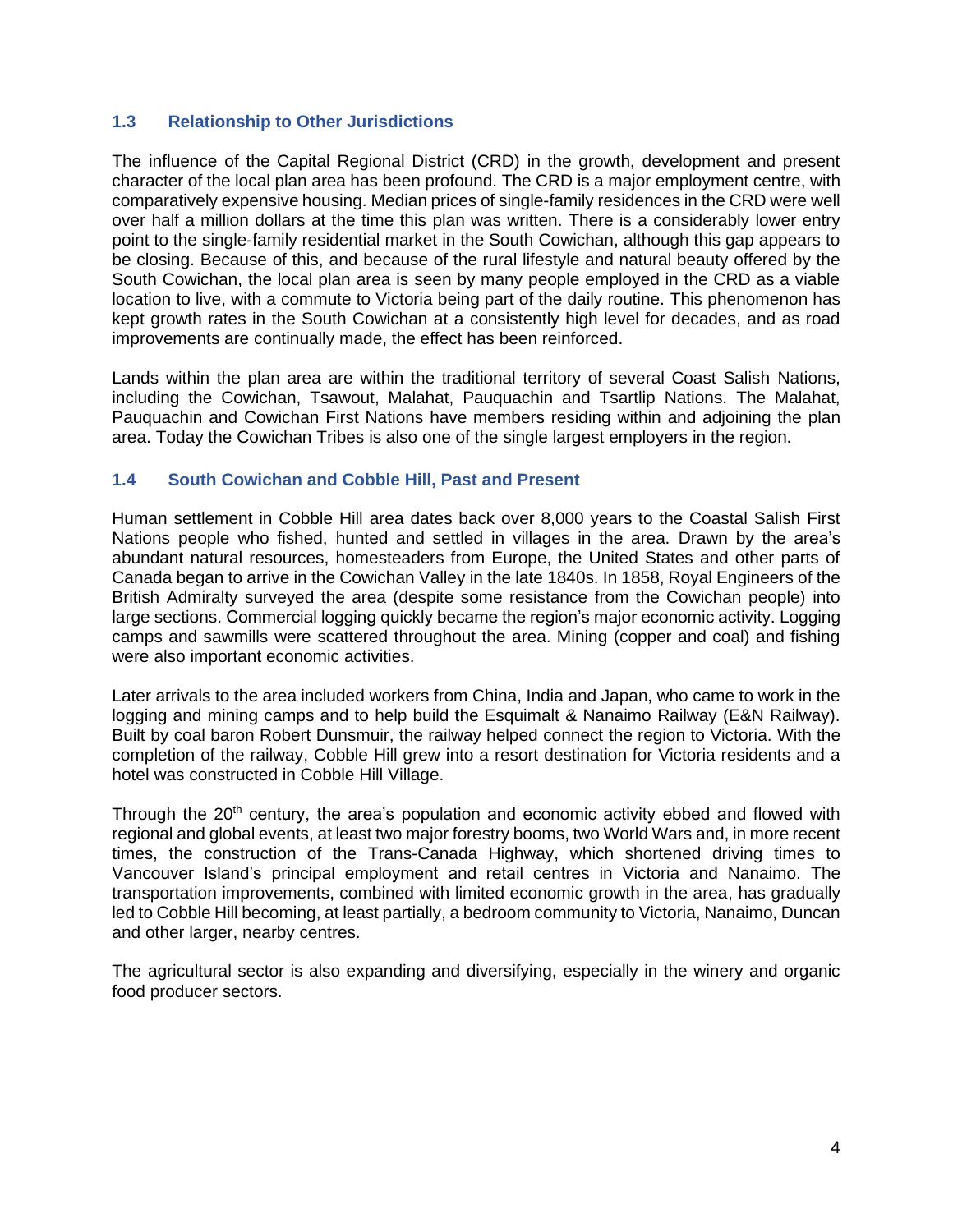# <span id="page-3-0"></span>**1.3 Relationship to Other Jurisdictions**

The influence of the Capital Regional District (CRD) in the growth, development and present character of the local plan area has been profound. The CRD is a major employment centre, with comparatively expensive housing. Median prices of single-family residences in the CRD were well over half a million dollars at the time this plan was written. There is a considerably lower entry point to the single-family residential market in the South Cowichan, although this gap appears to be closing. Because of this, and because of the rural lifestyle and natural beauty offered by the South Cowichan, the local plan area is seen by many people employed in the CRD as a viable location to live, with a commute to Victoria being part of the daily routine. This phenomenon has kept growth rates in the South Cowichan at a consistently high level for decades, and as road improvements are continually made, the effect has been reinforced.

Lands within the plan area are within the traditional territory of several Coast Salish Nations, including the Cowichan, Tsawout, Malahat, Pauquachin and Tsartlip Nations. The Malahat, Pauquachin and Cowichan First Nations have members residing within and adjoining the plan area. Today the Cowichan Tribes is also one of the single largest employers in the region.

# <span id="page-3-1"></span>**1.4 South Cowichan and Cobble Hill, Past and Present**

Human settlement in Cobble Hill area dates back over 8,000 years to the Coastal Salish First Nations people who fished, hunted and settled in villages in the area. Drawn by the area's abundant natural resources, homesteaders from Europe, the United States and other parts of Canada began to arrive in the Cowichan Valley in the late 1840s. In 1858, Royal Engineers of the British Admiralty surveyed the area (despite some resistance from the Cowichan people) into large sections. Commercial logging quickly became the region's major economic activity. Logging camps and sawmills were scattered throughout the area. Mining (copper and coal) and fishing were also important economic activities.

Later arrivals to the area included workers from China, India and Japan, who came to work in the logging and mining camps and to help build the Esquimalt & Nanaimo Railway (E&N Railway). Built by coal baron Robert Dunsmuir, the railway helped connect the region to Victoria. With the completion of the railway, Cobble Hill grew into a resort destination for Victoria residents and a hotel was constructed in Cobble Hill Village.

Through the  $20<sup>th</sup>$  century, the area's population and economic activity ebbed and flowed with regional and global events, at least two major forestry booms, two World Wars and, in more recent times, the construction of the Trans-Canada Highway, which shortened driving times to Vancouver Island's principal employment and retail centres in Victoria and Nanaimo. The transportation improvements, combined with limited economic growth in the area, has gradually led to Cobble Hill becoming, at least partially, a bedroom community to Victoria, Nanaimo, Duncan and other larger, nearby centres.

The agricultural sector is also expanding and diversifying, especially in the winery and organic food producer sectors.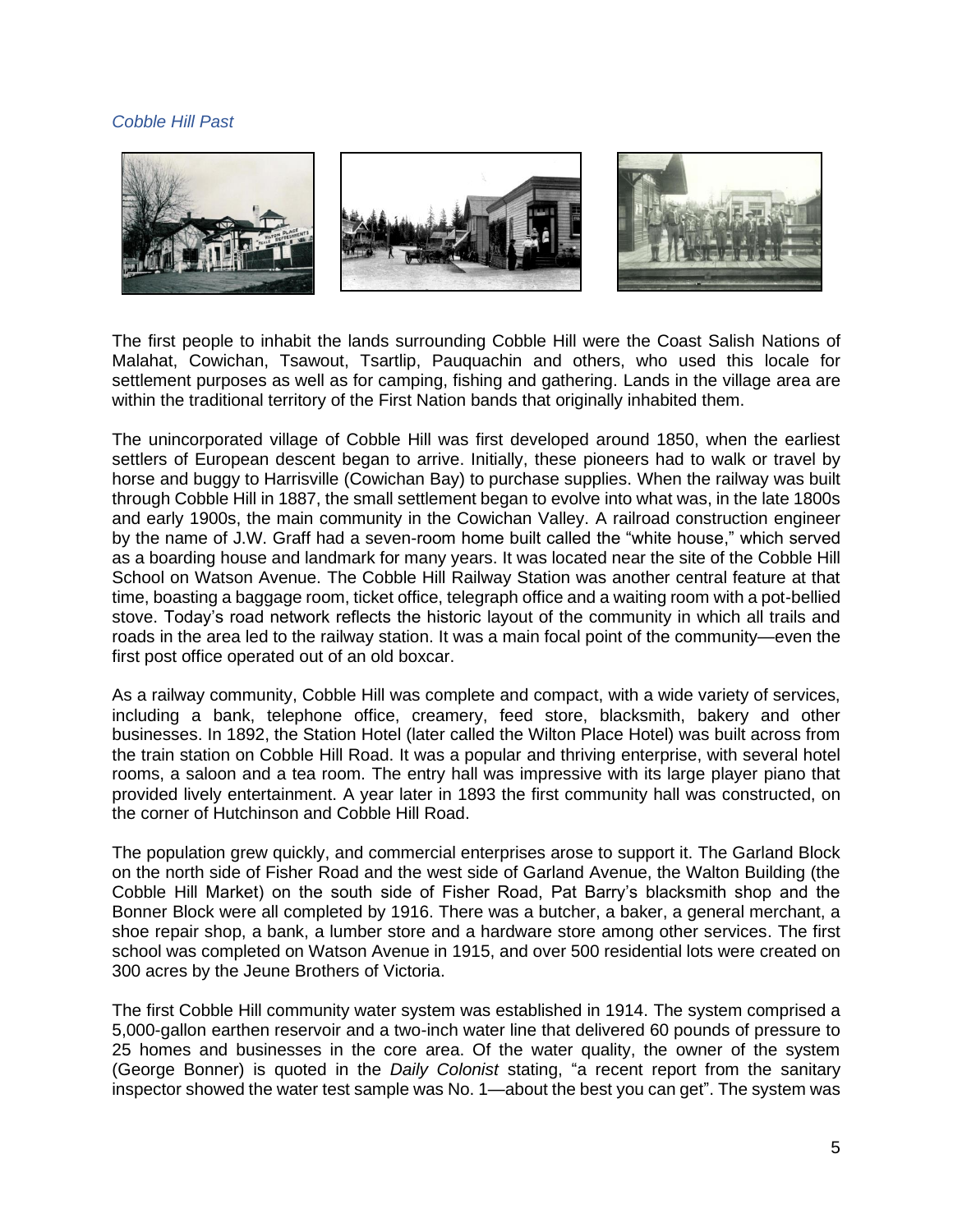### *Cobble Hill Past*



The first people to inhabit the lands surrounding Cobble Hill were the Coast Salish Nations of Malahat, Cowichan, Tsawout, Tsartlip, Pauquachin and others, who used this locale for settlement purposes as well as for camping, fishing and gathering. Lands in the village area are within the traditional territory of the First Nation bands that originally inhabited them.

The unincorporated village of Cobble Hill was first developed around 1850, when the earliest settlers of European descent began to arrive. Initially, these pioneers had to walk or travel by horse and buggy to Harrisville (Cowichan Bay) to purchase supplies. When the railway was built through Cobble Hill in 1887, the small settlement began to evolve into what was, in the late 1800s and early 1900s, the main community in the Cowichan Valley. A railroad construction engineer by the name of J.W. Graff had a seven-room home built called the "white house," which served as a boarding house and landmark for many years. It was located near the site of the Cobble Hill School on Watson Avenue. The Cobble Hill Railway Station was another central feature at that time, boasting a baggage room, ticket office, telegraph office and a waiting room with a pot-bellied stove. Today's road network reflects the historic layout of the community in which all trails and roads in the area led to the railway station. It was a main focal point of the community—even the first post office operated out of an old boxcar.

As a railway community, Cobble Hill was complete and compact, with a wide variety of services, including a bank, telephone office, creamery, feed store, blacksmith, bakery and other businesses. In 1892, the Station Hotel (later called the Wilton Place Hotel) was built across from the train station on Cobble Hill Road. It was a popular and thriving enterprise, with several hotel rooms, a saloon and a tea room. The entry hall was impressive with its large player piano that provided lively entertainment. A year later in 1893 the first community hall was constructed, on the corner of Hutchinson and Cobble Hill Road.

The population grew quickly, and commercial enterprises arose to support it. The Garland Block on the north side of Fisher Road and the west side of Garland Avenue, the Walton Building (the Cobble Hill Market) on the south side of Fisher Road, Pat Barry's blacksmith shop and the Bonner Block were all completed by 1916. There was a butcher, a baker, a general merchant, a shoe repair shop, a bank, a lumber store and a hardware store among other services. The first school was completed on Watson Avenue in 1915, and over 500 residential lots were created on 300 acres by the Jeune Brothers of Victoria.

The first Cobble Hill community water system was established in 1914. The system comprised a 5,000-gallon earthen reservoir and a two-inch water line that delivered 60 pounds of pressure to 25 homes and businesses in the core area. Of the water quality, the owner of the system (George Bonner) is quoted in the *Daily Colonist* stating, "a recent report from the sanitary inspector showed the water test sample was No. 1—about the best you can get". The system was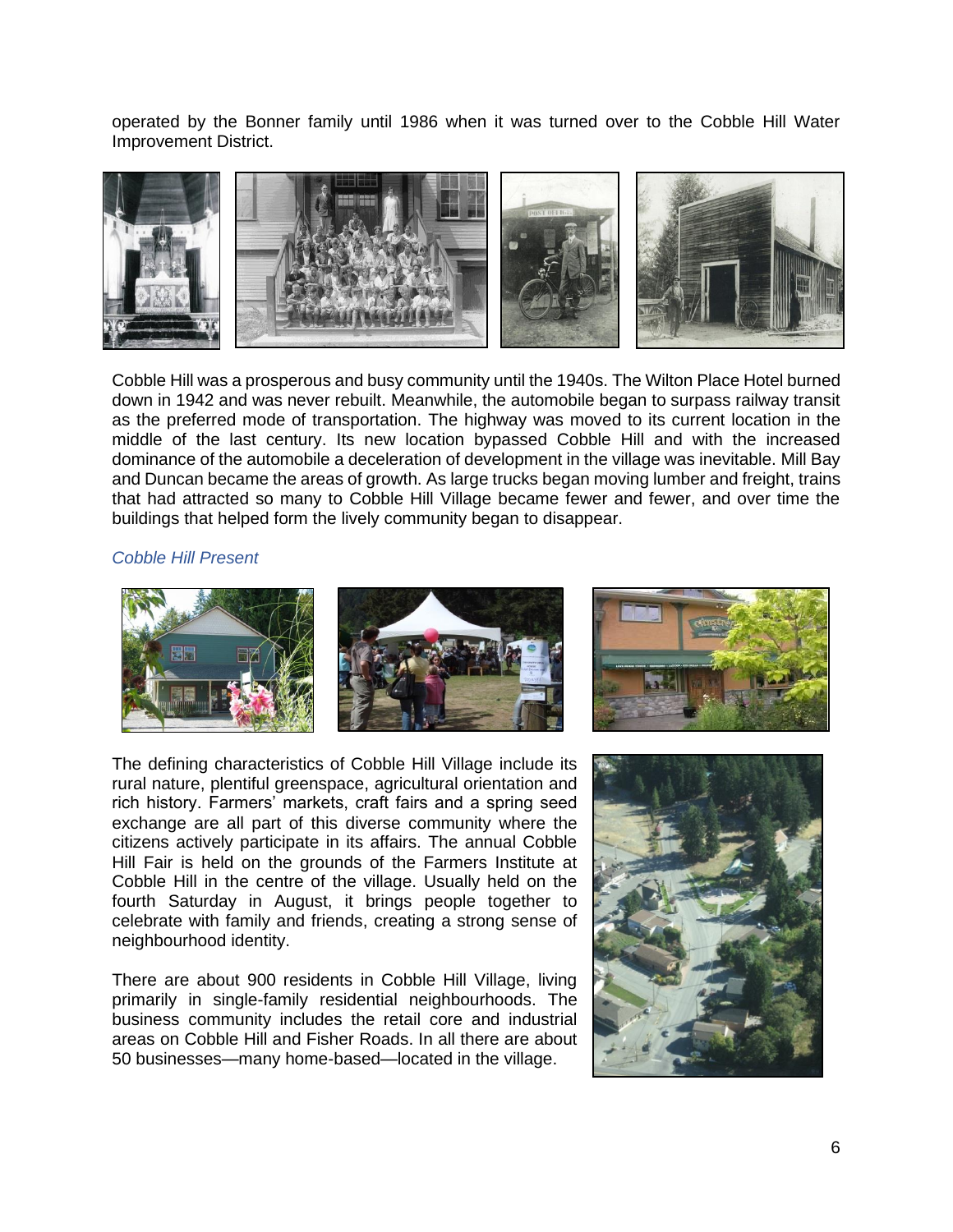operated by the Bonner family until 1986 when it was turned over to the Cobble Hill Water Improvement District.



Cobble Hill was a prosperous and busy community until the 1940s. The Wilton Place Hotel burned down in 1942 and was never rebuilt. Meanwhile, the automobile began to surpass railway transit as the preferred mode of transportation. The highway was moved to its current location in the middle of the last century. Its new location bypassed Cobble Hill and with the increased dominance of the automobile a deceleration of development in the village was inevitable. Mill Bay and Duncan became the areas of growth. As large trucks began moving lumber and freight, trains that had attracted so many to Cobble Hill Village became fewer and fewer, and over time the buildings that helped form the lively community began to disappear.

### *Cobble Hill Present*



The defining characteristics of Cobble Hill Village include its rural nature, plentiful greenspace, agricultural orientation and rich history. Farmers' markets, craft fairs and a spring seed exchange are all part of this diverse community where the citizens actively participate in its affairs. The annual Cobble Hill Fair is held on the grounds of the Farmers Institute at Cobble Hill in the centre of the village. Usually held on the fourth Saturday in August, it brings people together to celebrate with family and friends, creating a strong sense of neighbourhood identity.

There are about 900 residents in Cobble Hill Village, living primarily in single-family residential neighbourhoods. The business community includes the retail core and industrial areas on Cobble Hill and Fisher Roads. In all there are about 50 businesses—many home-based—located in the village.

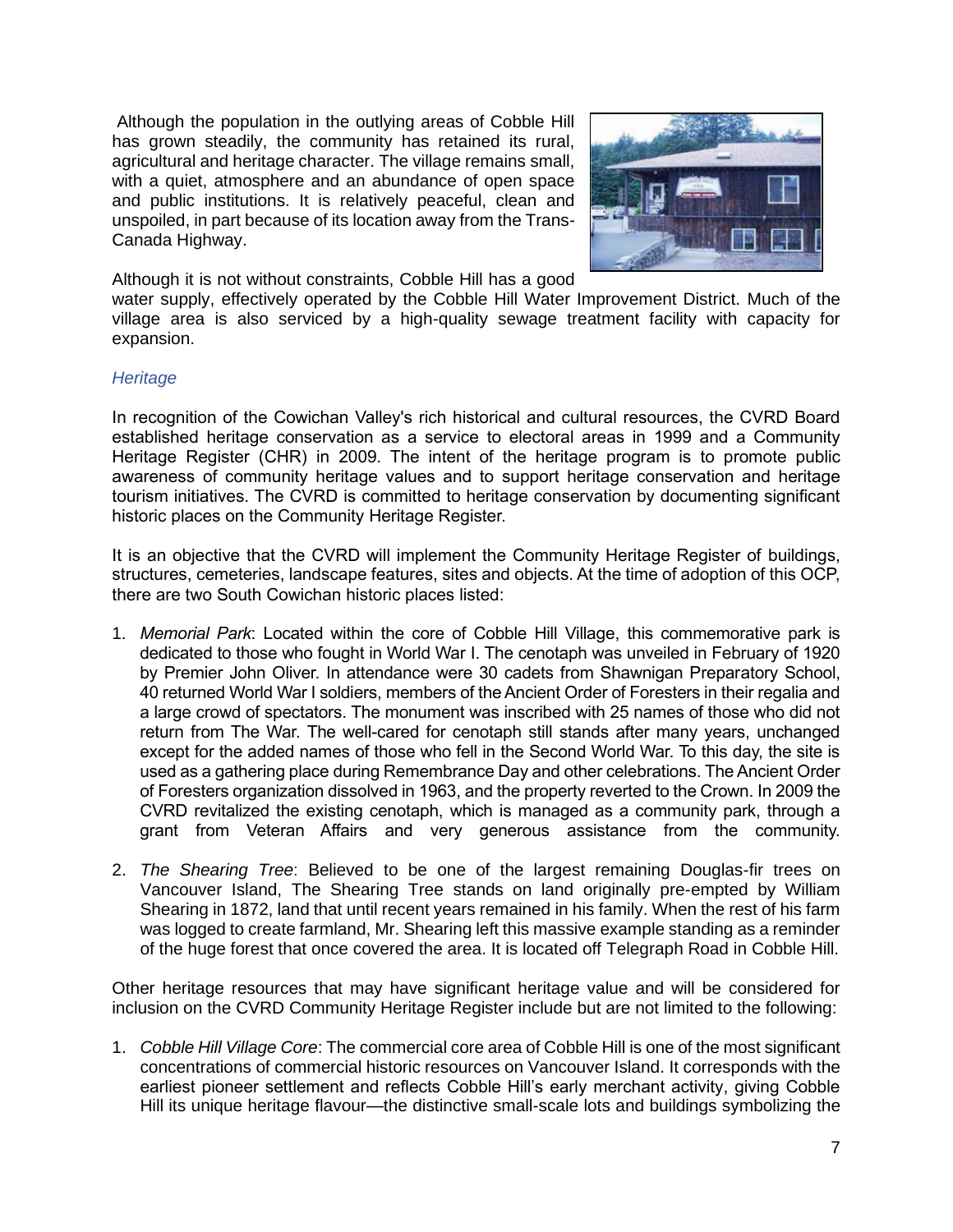Although the population in the outlying areas of Cobble Hill has grown steadily, the community has retained its rural, agricultural and heritage character. The village remains small, with a quiet, atmosphere and an abundance of open space and public institutions. It is relatively peaceful, clean and unspoiled, in part because of its location away from the Trans-Canada Highway.



Although it is not without constraints, Cobble Hill has a good

water supply, effectively operated by the Cobble Hill Water Improvement District. Much of the village area is also serviced by a high-quality sewage treatment facility with capacity for expansion.

# *Heritage*

In recognition of the Cowichan Valley's rich historical and cultural resources, the CVRD Board established heritage conservation as a service to electoral areas in 1999 and a Community Heritage Register (CHR) in 2009. The intent of the heritage program is to promote public awareness of community heritage values and to support heritage conservation and heritage tourism initiatives. The CVRD is committed to heritage conservation by documenting significant historic places on the Community Heritage Register.

It is an objective that the CVRD will implement the Community Heritage Register of buildings, structures, cemeteries, landscape features, sites and objects. At the time of adoption of this OCP, there are two South Cowichan historic places listed:

- 1. *Memorial Park*: Located within the core of Cobble Hill Village, this commemorative park is dedicated to those who fought in World War I. The cenotaph was unveiled in February of 1920 by Premier John Oliver. In attendance were 30 cadets from Shawnigan Preparatory School, 40 returned World War I soldiers, members of the Ancient Order of Foresters in their regalia and a large crowd of spectators. The monument was inscribed with 25 names of those who did not return from The War. The well-cared for cenotaph still stands after many years, unchanged except for the added names of those who fell in the Second World War. To this day, the site is used as a gathering place during Remembrance Day and other celebrations. The Ancient Order of Foresters organization dissolved in 1963, and the property reverted to the Crown. In 2009 the CVRD revitalized the existing cenotaph, which is managed as a community park, through a grant from Veteran Affairs and very generous assistance from the community.
- 2. *The Shearing Tree*: Believed to be one of the largest remaining Douglas-fir trees on Vancouver Island, The Shearing Tree stands on land originally pre-empted by William Shearing in 1872, land that until recent years remained in his family. When the rest of his farm was logged to create farmland, Mr. Shearing left this massive example standing as a reminder of the huge forest that once covered the area. It is located off Telegraph Road in Cobble Hill.

Other heritage resources that may have significant heritage value and will be considered for inclusion on the CVRD Community Heritage Register include but are not limited to the following:

1. *Cobble Hill Village Core*: The commercial core area of Cobble Hill is one of the most significant concentrations of commercial historic resources on Vancouver Island. It corresponds with the earliest pioneer settlement and reflects Cobble Hill's early merchant activity, giving Cobble Hill its unique heritage flavour—the distinctive small-scale lots and buildings symbolizing the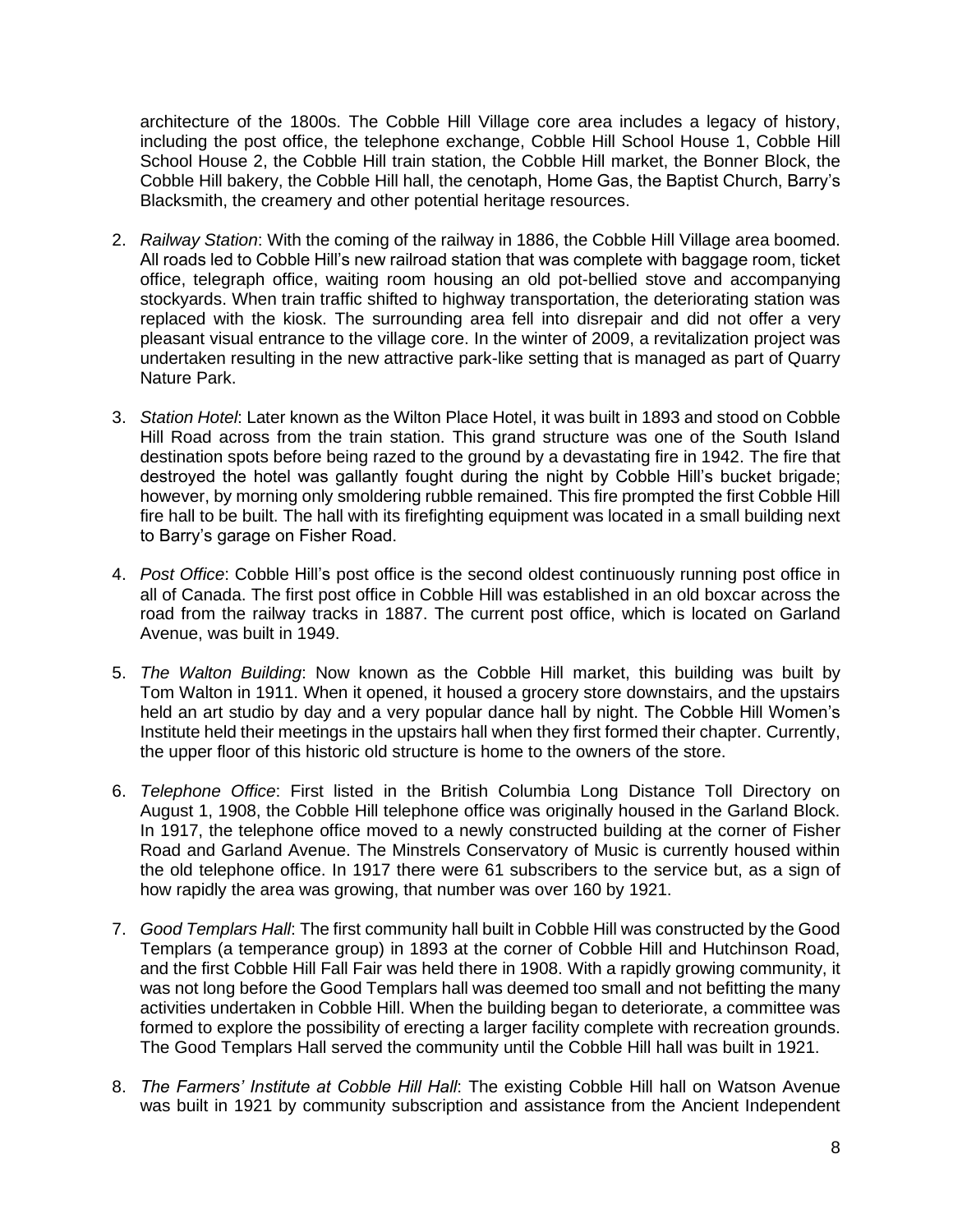architecture of the 1800s. The Cobble Hill Village core area includes a legacy of history, including the post office, the telephone exchange, Cobble Hill School House 1, Cobble Hill School House 2, the Cobble Hill train station, the Cobble Hill market, the Bonner Block, the Cobble Hill bakery, the Cobble Hill hall, the cenotaph, Home Gas, the Baptist Church, Barry's Blacksmith, the creamery and other potential heritage resources.

- 2. *Railway Station*: With the coming of the railway in 1886, the Cobble Hill Village area boomed. All roads led to Cobble Hill's new railroad station that was complete with baggage room, ticket office, telegraph office, waiting room housing an old pot-bellied stove and accompanying stockyards. When train traffic shifted to highway transportation, the deteriorating station was replaced with the kiosk. The surrounding area fell into disrepair and did not offer a very pleasant visual entrance to the village core. In the winter of 2009, a revitalization project was undertaken resulting in the new attractive park-like setting that is managed as part of Quarry Nature Park.
- 3. *Station Hotel*: Later known as the Wilton Place Hotel, it was built in 1893 and stood on Cobble Hill Road across from the train station. This grand structure was one of the South Island destination spots before being razed to the ground by a devastating fire in 1942. The fire that destroyed the hotel was gallantly fought during the night by Cobble Hill's bucket brigade; however, by morning only smoldering rubble remained. This fire prompted the first Cobble Hill fire hall to be built. The hall with its firefighting equipment was located in a small building next to Barry's garage on Fisher Road.
- 4. *Post Office*: Cobble Hill's post office is the second oldest continuously running post office in all of Canada. The first post office in Cobble Hill was established in an old boxcar across the road from the railway tracks in 1887. The current post office, which is located on Garland Avenue, was built in 1949.
- 5. *The Walton Building*: Now known as the Cobble Hill market, this building was built by Tom Walton in 1911. When it opened, it housed a grocery store downstairs, and the upstairs held an art studio by day and a very popular dance hall by night. The Cobble Hill Women's Institute held their meetings in the upstairs hall when they first formed their chapter. Currently, the upper floor of this historic old structure is home to the owners of the store.
- 6. *Telephone Office*: First listed in the British Columbia Long Distance Toll Directory on August 1, 1908, the Cobble Hill telephone office was originally housed in the Garland Block. In 1917, the telephone office moved to a newly constructed building at the corner of Fisher Road and Garland Avenue. The Minstrels Conservatory of Music is currently housed within the old telephone office. In 1917 there were 61 subscribers to the service but, as a sign of how rapidly the area was growing, that number was over 160 by 1921.
- 7. *Good Templars Hall*: The first community hall built in Cobble Hill was constructed by the Good Templars (a temperance group) in 1893 at the corner of Cobble Hill and Hutchinson Road, and the first Cobble Hill Fall Fair was held there in 1908. With a rapidly growing community, it was not long before the Good Templars hall was deemed too small and not befitting the many activities undertaken in Cobble Hill. When the building began to deteriorate, a committee was formed to explore the possibility of erecting a larger facility complete with recreation grounds. The Good Templars Hall served the community until the Cobble Hill hall was built in 1921.
- 8. *The Farmers' Institute at Cobble Hill Hall*: The existing Cobble Hill hall on Watson Avenue was built in 1921 by community subscription and assistance from the Ancient Independent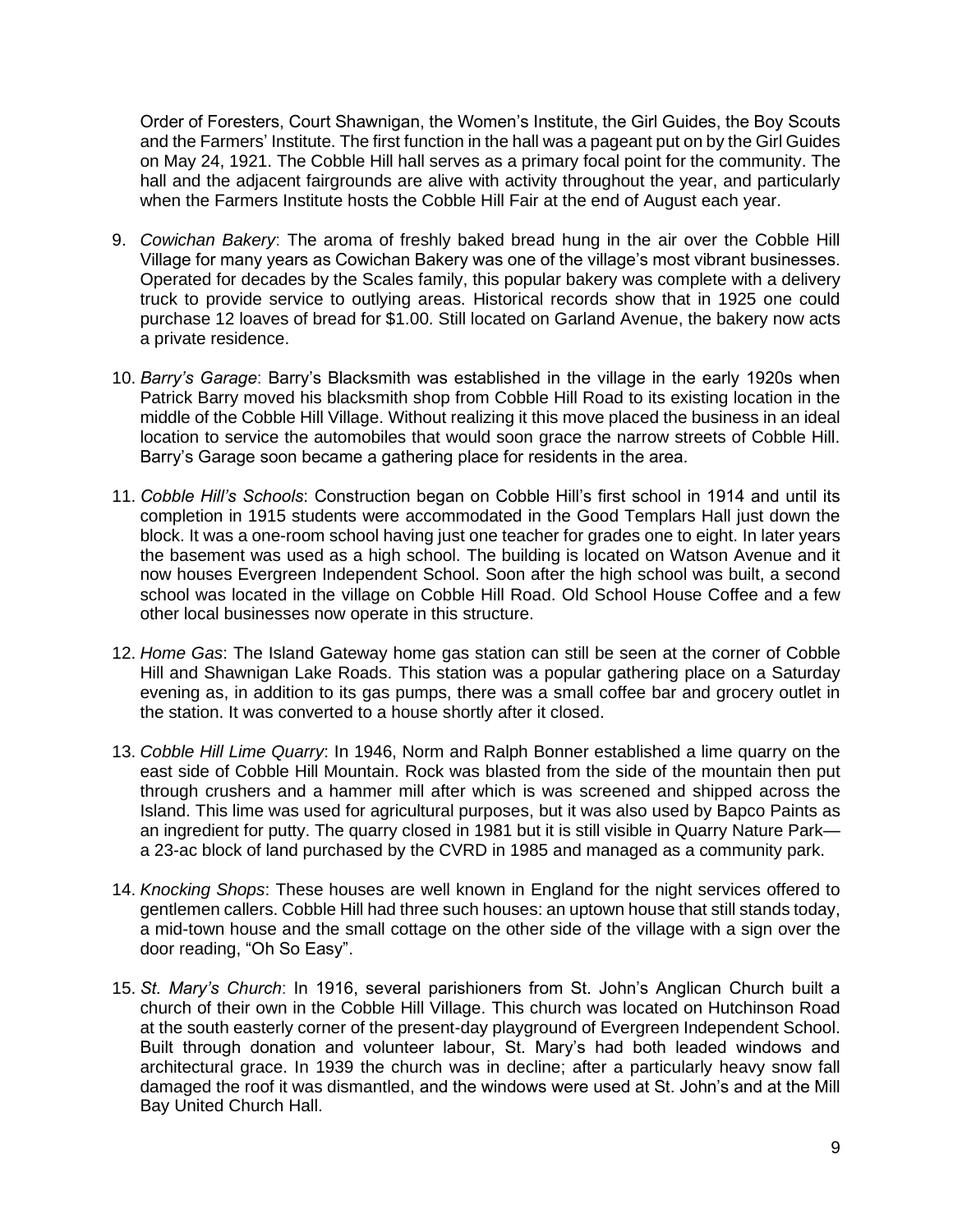Order of Foresters, Court Shawnigan, the Women's Institute, the Girl Guides, the Boy Scouts and the Farmers' Institute. The first function in the hall was a pageant put on by the Girl Guides on May 24, 1921. The Cobble Hill hall serves as a primary focal point for the community. The hall and the adjacent fairgrounds are alive with activity throughout the year, and particularly when the Farmers Institute hosts the Cobble Hill Fair at the end of August each year.

- 9. *Cowichan Bakery*: The aroma of freshly baked bread hung in the air over the Cobble Hill Village for many years as Cowichan Bakery was one of the village's most vibrant businesses. Operated for decades by the Scales family, this popular bakery was complete with a delivery truck to provide service to outlying areas. Historical records show that in 1925 one could purchase 12 loaves of bread for \$1.00. Still located on Garland Avenue, the bakery now acts a private residence.
- 10. *Barry's Garage*: Barry's Blacksmith was established in the village in the early 1920s when Patrick Barry moved his blacksmith shop from Cobble Hill Road to its existing location in the middle of the Cobble Hill Village. Without realizing it this move placed the business in an ideal location to service the automobiles that would soon grace the narrow streets of Cobble Hill. Barry's Garage soon became a gathering place for residents in the area.
- 11. *Cobble Hill's Schools*: Construction began on Cobble Hill's first school in 1914 and until its completion in 1915 students were accommodated in the Good Templars Hall just down the block. It was a one-room school having just one teacher for grades one to eight. In later years the basement was used as a high school. The building is located on Watson Avenue and it now houses Evergreen Independent School. Soon after the high school was built, a second school was located in the village on Cobble Hill Road. Old School House Coffee and a few other local businesses now operate in this structure.
- 12. *Home Gas*: The Island Gateway home gas station can still be seen at the corner of Cobble Hill and Shawnigan Lake Roads. This station was a popular gathering place on a Saturday evening as, in addition to its gas pumps, there was a small coffee bar and grocery outlet in the station. It was converted to a house shortly after it closed.
- 13. *Cobble Hill Lime Quarry*: In 1946, Norm and Ralph Bonner established a lime quarry on the east side of Cobble Hill Mountain. Rock was blasted from the side of the mountain then put through crushers and a hammer mill after which is was screened and shipped across the Island. This lime was used for agricultural purposes, but it was also used by Bapco Paints as an ingredient for putty. The quarry closed in 1981 but it is still visible in Quarry Nature Park a 23-ac block of land purchased by the CVRD in 1985 and managed as a community park.
- 14. *Knocking Shops*: These houses are well known in England for the night services offered to gentlemen callers. Cobble Hill had three such houses: an uptown house that still stands today, a mid-town house and the small cottage on the other side of the village with a sign over the door reading, "Oh So Easy".
- 15. *St. Mary's Church*: In 1916, several parishioners from St. John's Anglican Church built a church of their own in the Cobble Hill Village. This church was located on Hutchinson Road at the south easterly corner of the present-day playground of Evergreen Independent School. Built through donation and volunteer labour, St. Mary's had both leaded windows and architectural grace. In 1939 the church was in decline; after a particularly heavy snow fall damaged the roof it was dismantled, and the windows were used at St. John's and at the Mill Bay United Church Hall.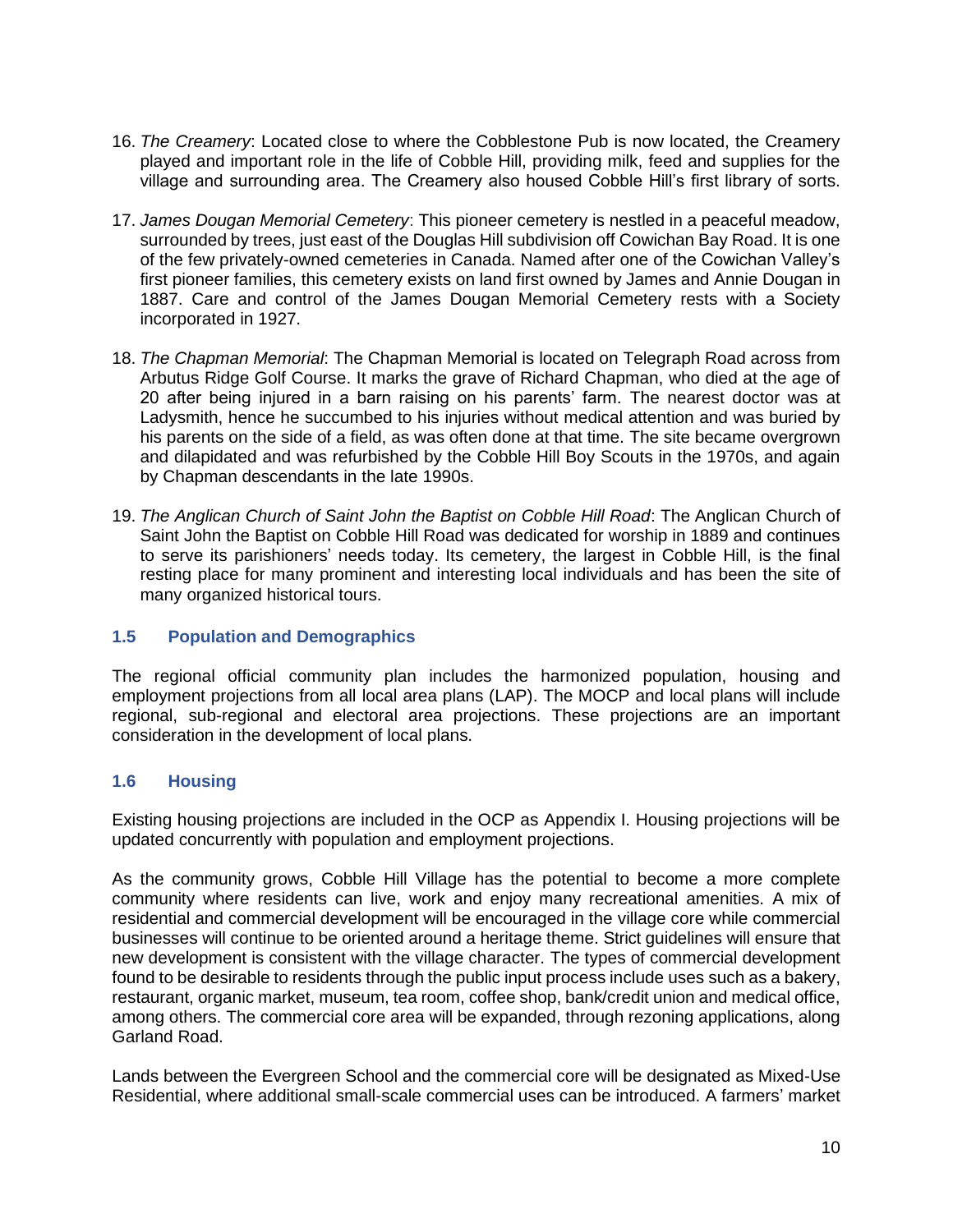- 16. *The Creamery*: Located close to where the Cobblestone Pub is now located, the Creamery played and important role in the life of Cobble Hill, providing milk, feed and supplies for the village and surrounding area. The Creamery also housed Cobble Hill's first library of sorts.
- 17. *James Dougan Memorial Cemetery*: This pioneer cemetery is nestled in a peaceful meadow, surrounded by trees, just east of the Douglas Hill subdivision off Cowichan Bay Road. It is one of the few privately-owned cemeteries in Canada. Named after one of the Cowichan Valley's first pioneer families, this cemetery exists on land first owned by James and Annie Dougan in 1887. Care and control of the James Dougan Memorial Cemetery rests with a Society incorporated in 1927.
- 18. *The Chapman Memorial*: The Chapman Memorial is located on Telegraph Road across from Arbutus Ridge Golf Course. It marks the grave of Richard Chapman, who died at the age of 20 after being injured in a barn raising on his parents' farm. The nearest doctor was at Ladysmith, hence he succumbed to his injuries without medical attention and was buried by his parents on the side of a field, as was often done at that time. The site became overgrown and dilapidated and was refurbished by the Cobble Hill Boy Scouts in the 1970s, and again by Chapman descendants in the late 1990s.
- 19. *The Anglican Church of Saint John the Baptist on Cobble Hill Road*: The Anglican Church of Saint John the Baptist on Cobble Hill Road was dedicated for worship in 1889 and continues to serve its parishioners' needs today. Its cemetery, the largest in Cobble Hill, is the final resting place for many prominent and interesting local individuals and has been the site of many organized historical tours.

# <span id="page-9-0"></span>**1.5 Population and Demographics**

The regional official community plan includes the harmonized population, housing and employment projections from all local area plans (LAP). The MOCP and local plans will include regional, sub-regional and electoral area projections. These projections are an important consideration in the development of local plans.

# <span id="page-9-1"></span>**1.6 Housing**

Existing housing projections are included in the OCP as Appendix I. Housing projections will be updated concurrently with population and employment projections.

As the community grows, Cobble Hill Village has the potential to become a more complete community where residents can live, work and enjoy many recreational amenities. A mix of residential and commercial development will be encouraged in the village core while commercial businesses will continue to be oriented around a heritage theme. Strict guidelines will ensure that new development is consistent with the village character. The types of commercial development found to be desirable to residents through the public input process include uses such as a bakery, restaurant, organic market, museum, tea room, coffee shop, bank/credit union and medical office, among others. The commercial core area will be expanded, through rezoning applications, along Garland Road.

Lands between the Evergreen School and the commercial core will be designated as Mixed-Use Residential, where additional small-scale commercial uses can be introduced. A farmers' market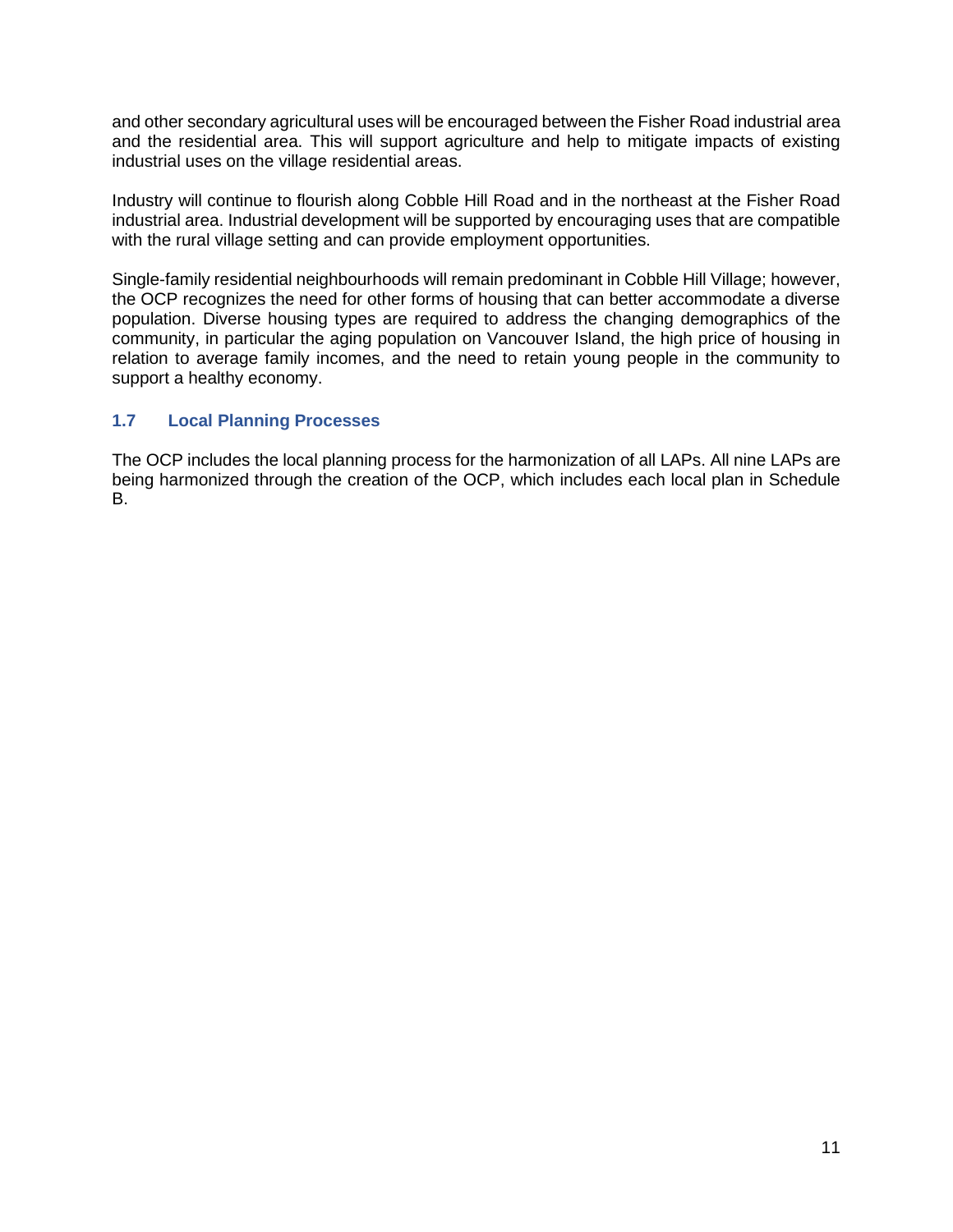and other secondary agricultural uses will be encouraged between the Fisher Road industrial area and the residential area. This will support agriculture and help to mitigate impacts of existing industrial uses on the village residential areas.

Industry will continue to flourish along Cobble Hill Road and in the northeast at the Fisher Road industrial area. Industrial development will be supported by encouraging uses that are compatible with the rural village setting and can provide employment opportunities.

Single-family residential neighbourhoods will remain predominant in Cobble Hill Village; however, the OCP recognizes the need for other forms of housing that can better accommodate a diverse population. Diverse housing types are required to address the changing demographics of the community, in particular the aging population on Vancouver Island, the high price of housing in relation to average family incomes, and the need to retain young people in the community to support a healthy economy.

# <span id="page-10-0"></span>**1.7 Local Planning Processes**

The OCP includes the local planning process for the harmonization of all LAPs. All nine LAPs are being harmonized through the creation of the OCP, which includes each local plan in Schedule B.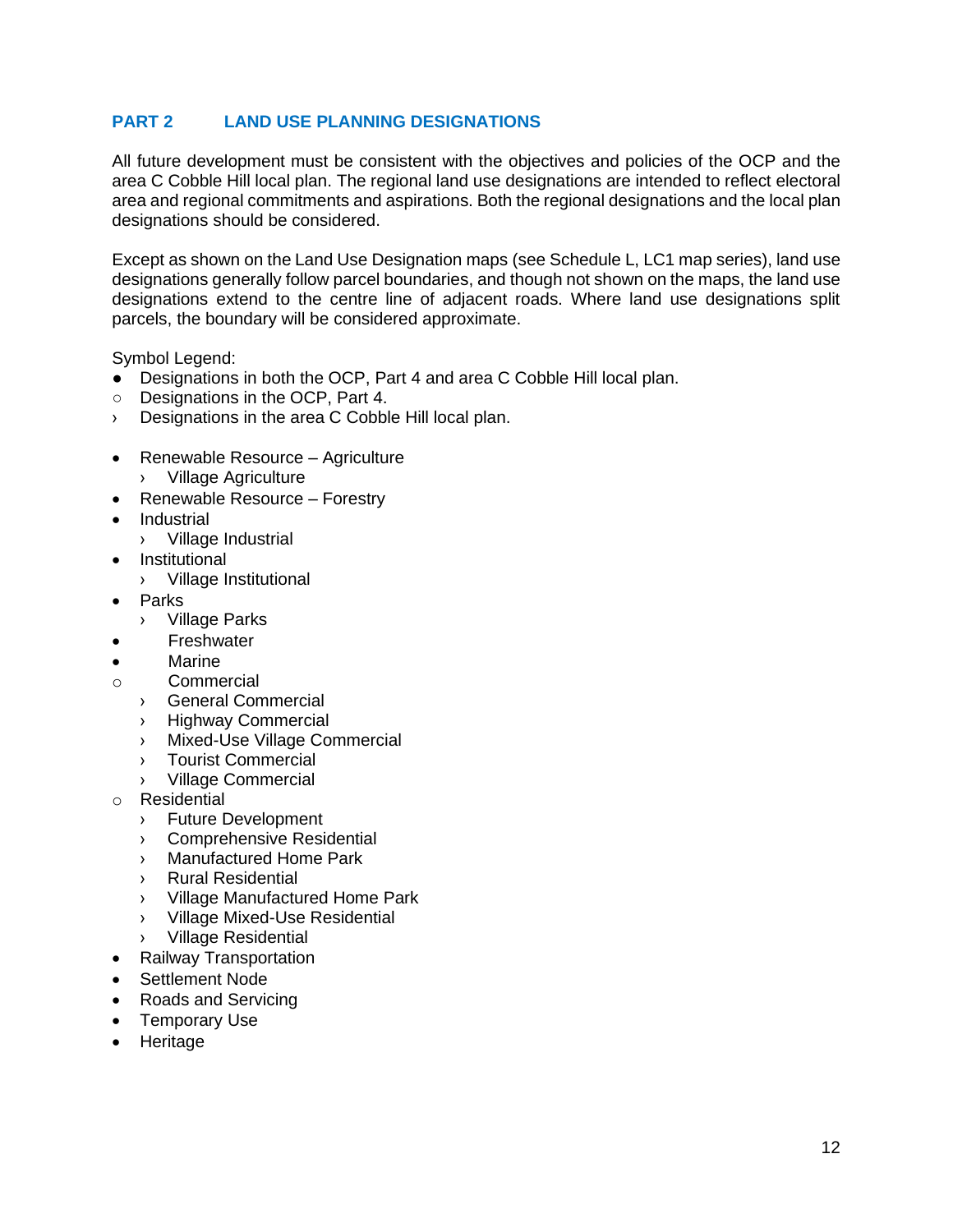# <span id="page-11-0"></span>**PART 2 LAND USE PLANNING DESIGNATIONS**

All future development must be consistent with the objectives and policies of the OCP and the area C Cobble Hill local plan. The regional land use designations are intended to reflect electoral area and regional commitments and aspirations. Both the regional designations and the local plan designations should be considered.

Except as shown on the Land Use Designation maps (see Schedule L, LC1 map series), land use designations generally follow parcel boundaries, and though not shown on the maps, the land use designations extend to the centre line of adjacent roads. Where land use designations split parcels, the boundary will be considered approximate.

Symbol Legend:

- Designations in both the OCP, Part 4 and area C Cobble Hill local plan.
- Designations in the OCP, Part 4.
- › Designations in the area C Cobble Hill local plan.
- Renewable Resource Agriculture
	- › Village Agriculture
- Renewable Resource Forestry
- Industrial
	- › Village Industrial
- **Institutional** 
	- › Village Institutional
- **Parks** 
	- › Village Parks
	- **Freshwater**
- Marine
- o Commercial
	- › General Commercial
	- › Highway Commercial
	- › Mixed-Use Village Commercial
	- › Tourist Commercial
	- **Village Commercial**
- o Residential
	- › Future Development
	- › Comprehensive Residential
	- › Manufactured Home Park
	- › Rural Residential
	- › Village Manufactured Home Park
	- › Village Mixed-Use Residential
	- › Village Residential
- Railway Transportation
- Settlement Node
- Roads and Servicing
- Temporary Use
- Heritage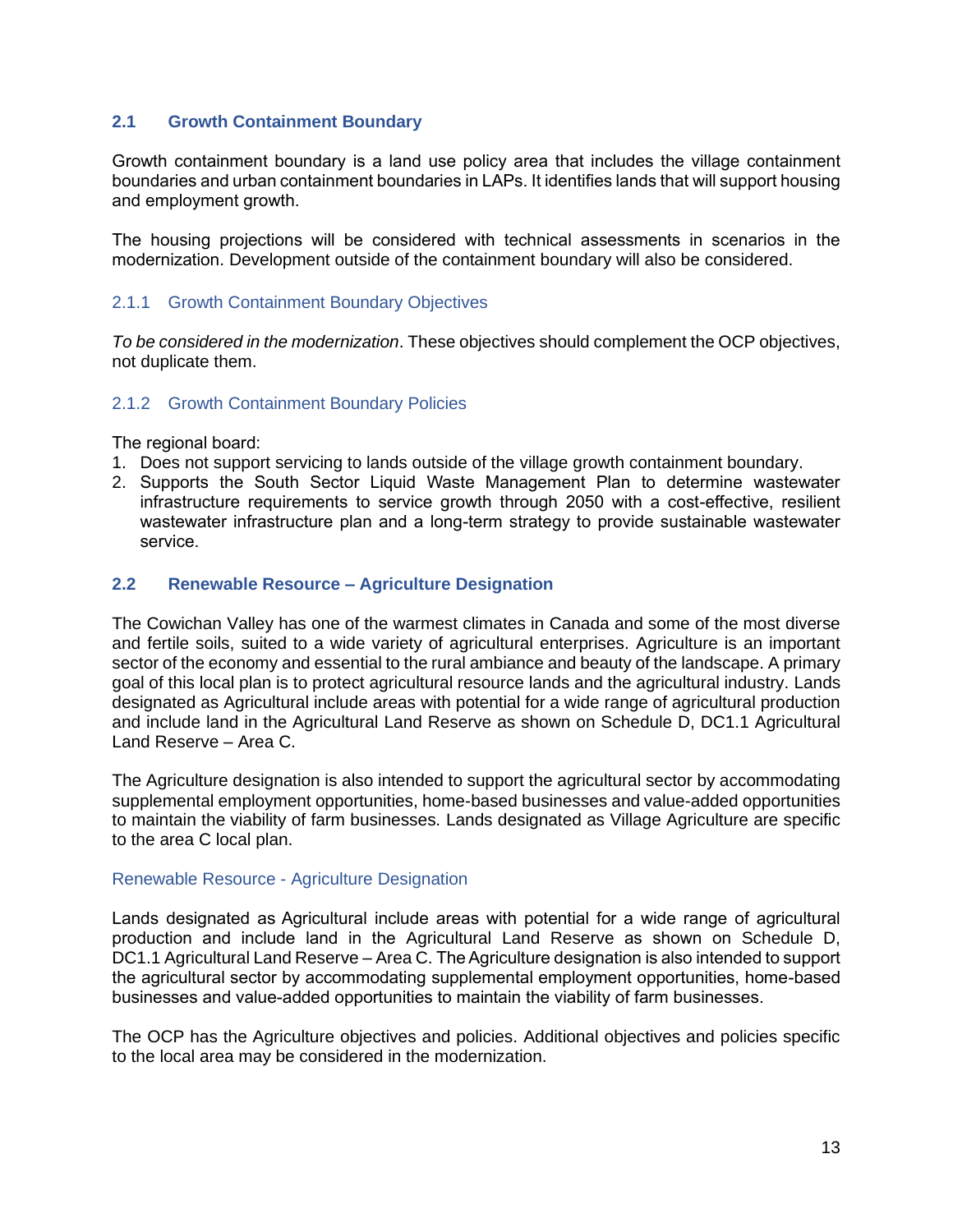# <span id="page-12-0"></span>**2.1 Growth Containment Boundary**

Growth containment boundary is a land use policy area that includes the village containment boundaries and urban containment boundaries in LAPs. It identifies lands that will support housing and employment growth.

The housing projections will be considered with technical assessments in scenarios in the modernization. Development outside of the containment boundary will also be considered.

### <span id="page-12-1"></span>2.1.1 Growth Containment Boundary Objectives

*To be considered in the modernization*. These objectives should complement the OCP objectives, not duplicate them.

### <span id="page-12-2"></span>2.1.2 Growth Containment Boundary Policies

The regional board:

- 1. Does not support servicing to lands outside of the village growth containment boundary.
- 2. Supports the South Sector Liquid Waste Management Plan to determine wastewater infrastructure requirements to service growth through 2050 with a cost-effective, resilient wastewater infrastructure plan and a long-term strategy to provide sustainable wastewater service.

### <span id="page-12-3"></span>**2.2 Renewable Resource – Agriculture Designation**

The Cowichan Valley has one of the warmest climates in Canada and some of the most diverse and fertile soils, suited to a wide variety of agricultural enterprises. Agriculture is an important sector of the economy and essential to the rural ambiance and beauty of the landscape. A primary goal of this local plan is to protect agricultural resource lands and the agricultural industry. Lands designated as Agricultural include areas with potential for a wide range of agricultural production and include land in the Agricultural Land Reserve as shown on Schedule D, DC1.1 Agricultural Land Reserve – Area C.

The Agriculture designation is also intended to support the agricultural sector by accommodating supplemental employment opportunities, home-based businesses and value-added opportunities to maintain the viability of farm businesses. Lands designated as Village Agriculture are specific to the area C local plan.

### Renewable Resource - Agriculture Designation

Lands designated as Agricultural include areas with potential for a wide range of agricultural production and include land in the Agricultural Land Reserve as shown on Schedule D, DC1.1 Agricultural Land Reserve – Area C. The Agriculture designation is also intended to support the agricultural sector by accommodating supplemental employment opportunities, home-based businesses and value-added opportunities to maintain the viability of farm businesses.

The OCP has the Agriculture objectives and policies. Additional objectives and policies specific to the local area may be considered in the modernization.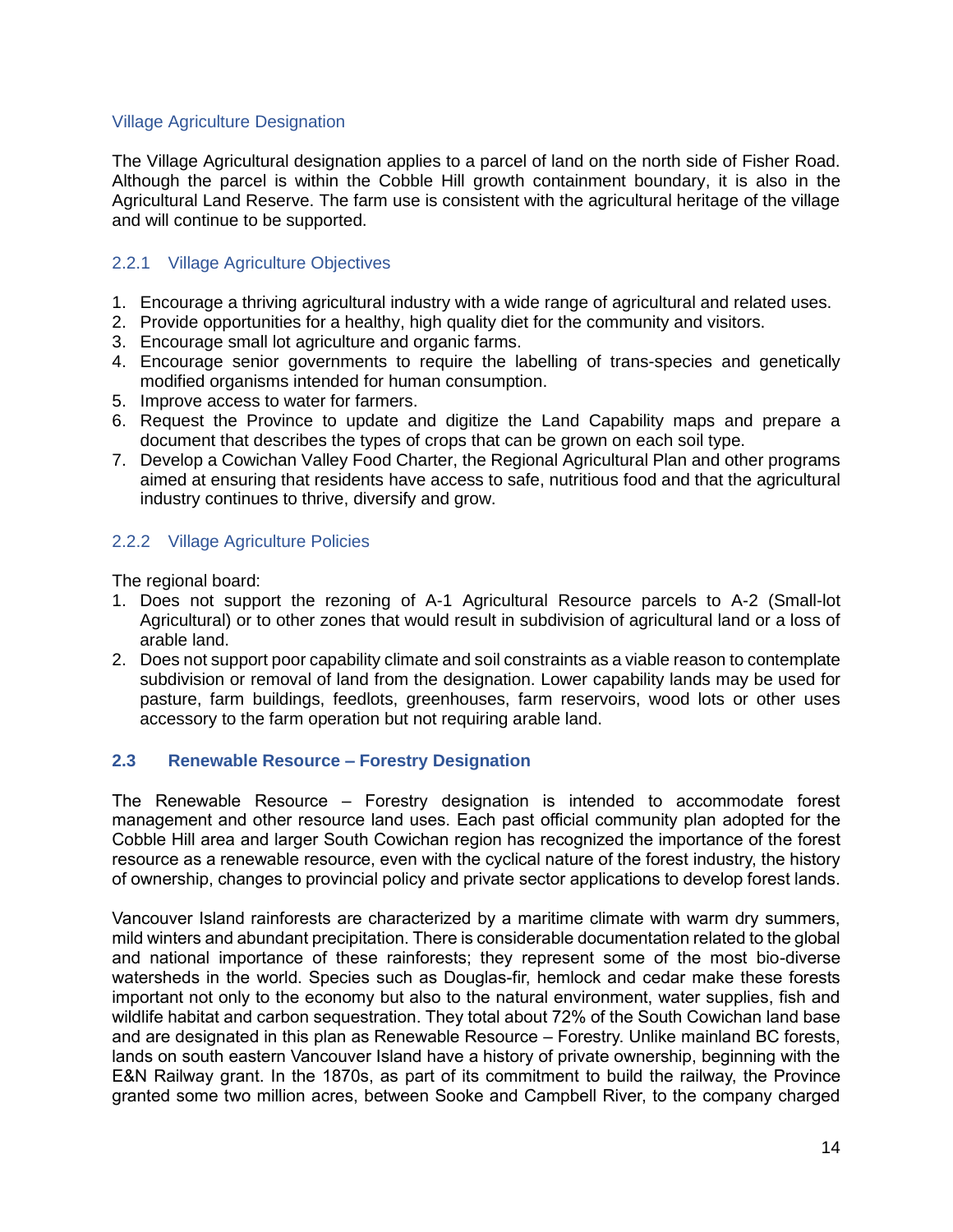# Village Agriculture Designation

The Village Agricultural designation applies to a parcel of land on the north side of Fisher Road. Although the parcel is within the Cobble Hill growth containment boundary, it is also in the Agricultural Land Reserve. The farm use is consistent with the agricultural heritage of the village and will continue to be supported.

## <span id="page-13-0"></span>2.2.1 Village Agriculture Objectives

- 1. Encourage a thriving agricultural industry with a wide range of agricultural and related uses.
- 2. Provide opportunities for a healthy, high quality diet for the community and visitors.
- 3. Encourage small lot agriculture and organic farms.
- 4. Encourage senior governments to require the labelling of trans-species and genetically modified organisms intended for human consumption.
- 5. Improve access to water for farmers.
- 6. Request the Province to update and digitize the Land Capability maps and prepare a document that describes the types of crops that can be grown on each soil type.
- 7. Develop a Cowichan Valley Food Charter, the Regional Agricultural Plan and other programs aimed at ensuring that residents have access to safe, nutritious food and that the agricultural industry continues to thrive, diversify and grow.

### <span id="page-13-1"></span>2.2.2 Village Agriculture Policies

The regional board:

- 1. Does not support the rezoning of A-1 Agricultural Resource parcels to A-2 (Small-lot Agricultural) or to other zones that would result in subdivision of agricultural land or a loss of arable land.
- 2. Does not support poor capability climate and soil constraints as a viable reason to contemplate subdivision or removal of land from the designation. Lower capability lands may be used for pasture, farm buildings, feedlots, greenhouses, farm reservoirs, wood lots or other uses accessory to the farm operation but not requiring arable land.

# <span id="page-13-2"></span>**2.3 Renewable Resource – Forestry Designation**

The Renewable Resource – Forestry designation is intended to accommodate forest management and other resource land uses. Each past official community plan adopted for the Cobble Hill area and larger South Cowichan region has recognized the importance of the forest resource as a renewable resource, even with the cyclical nature of the forest industry, the history of ownership, changes to provincial policy and private sector applications to develop forest lands.

Vancouver Island rainforests are characterized by a maritime climate with warm dry summers, mild winters and abundant precipitation. There is considerable documentation related to the global and national importance of these rainforests; they represent some of the most bio-diverse watersheds in the world. Species such as Douglas-fir, hemlock and cedar make these forests important not only to the economy but also to the natural environment, water supplies, fish and wildlife habitat and carbon sequestration. They total about 72% of the South Cowichan land base and are designated in this plan as Renewable Resource – Forestry. Unlike mainland BC forests, lands on south eastern Vancouver Island have a history of private ownership, beginning with the E&N Railway grant. In the 1870s, as part of its commitment to build the railway, the Province granted some two million acres, between Sooke and Campbell River, to the company charged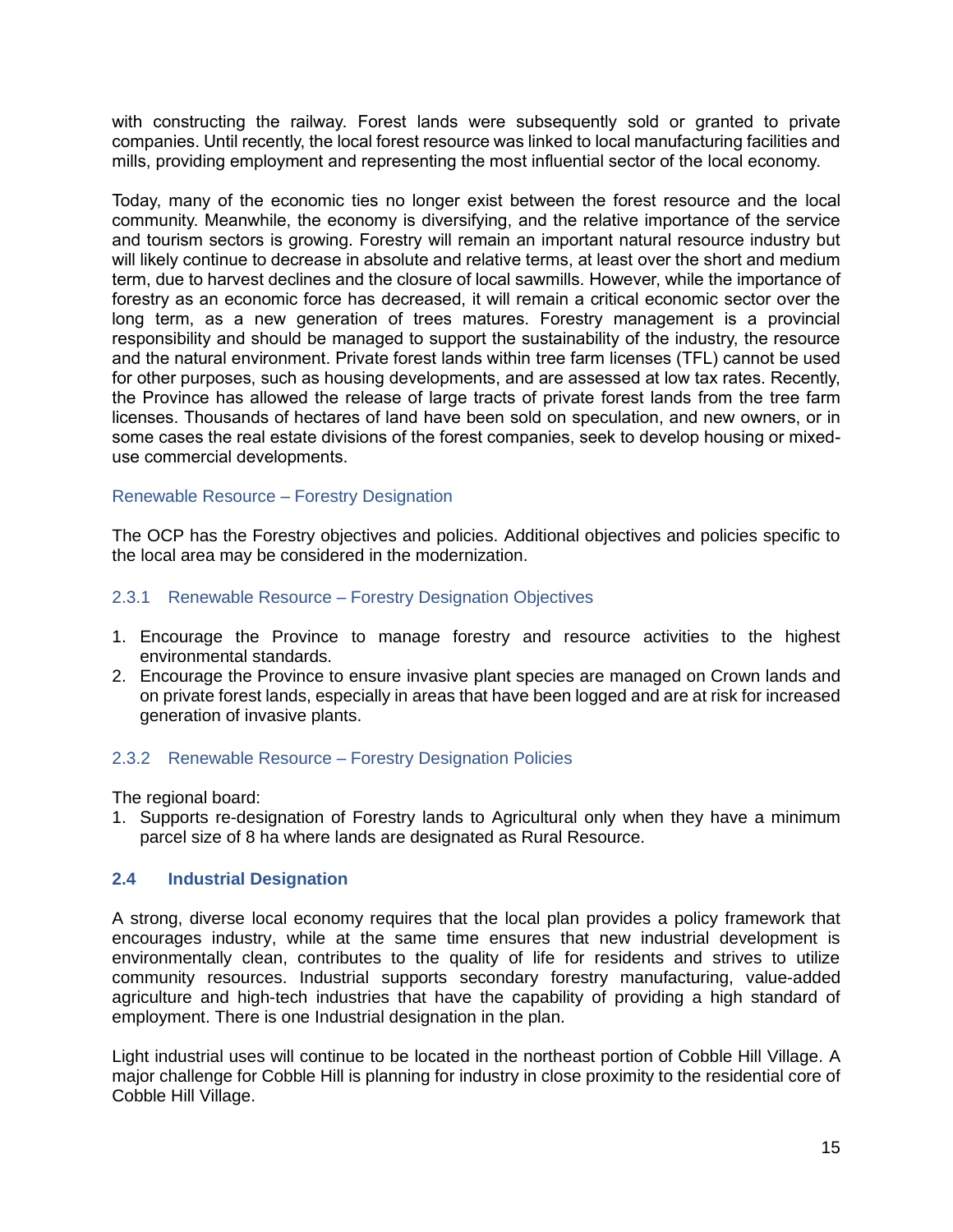with constructing the railway. Forest lands were subsequently sold or granted to private companies. Until recently, the local forest resource was linked to local manufacturing facilities and mills, providing employment and representing the most influential sector of the local economy.

Today, many of the economic ties no longer exist between the forest resource and the local community. Meanwhile, the economy is diversifying, and the relative importance of the service and tourism sectors is growing. Forestry will remain an important natural resource industry but will likely continue to decrease in absolute and relative terms, at least over the short and medium term, due to harvest declines and the closure of local sawmills. However, while the importance of forestry as an economic force has decreased, it will remain a critical economic sector over the long term, as a new generation of trees matures. Forestry management is a provincial responsibility and should be managed to support the sustainability of the industry, the resource and the natural environment. Private forest lands within tree farm licenses (TFL) cannot be used for other purposes, such as housing developments, and are assessed at low tax rates. Recently, the Province has allowed the release of large tracts of private forest lands from the tree farm licenses. Thousands of hectares of land have been sold on speculation, and new owners, or in some cases the real estate divisions of the forest companies, seek to develop housing or mixeduse commercial developments.

### Renewable Resource – Forestry Designation

The OCP has the Forestry objectives and policies. Additional objectives and policies specific to the local area may be considered in the modernization.

### <span id="page-14-0"></span>2.3.1 Renewable Resource – Forestry Designation Objectives

- 1. Encourage the Province to manage forestry and resource activities to the highest environmental standards.
- 2. Encourage the Province to ensure invasive plant species are managed on Crown lands and on private forest lands, especially in areas that have been logged and are at risk for increased generation of invasive plants.

# <span id="page-14-1"></span>2.3.2 Renewable Resource – Forestry Designation Policies

The regional board:

1. Supports re-designation of Forestry lands to Agricultural only when they have a minimum parcel size of 8 ha where lands are designated as Rural Resource.

### <span id="page-14-2"></span>**2.4 Industrial Designation**

A strong, diverse local economy requires that the local plan provides a policy framework that encourages industry, while at the same time ensures that new industrial development is environmentally clean, contributes to the quality of life for residents and strives to utilize community resources. Industrial supports secondary forestry manufacturing, value-added agriculture and high-tech industries that have the capability of providing a high standard of employment. There is one Industrial designation in the plan.

Light industrial uses will continue to be located in the northeast portion of Cobble Hill Village. A major challenge for Cobble Hill is planning for industry in close proximity to the residential core of Cobble Hill Village.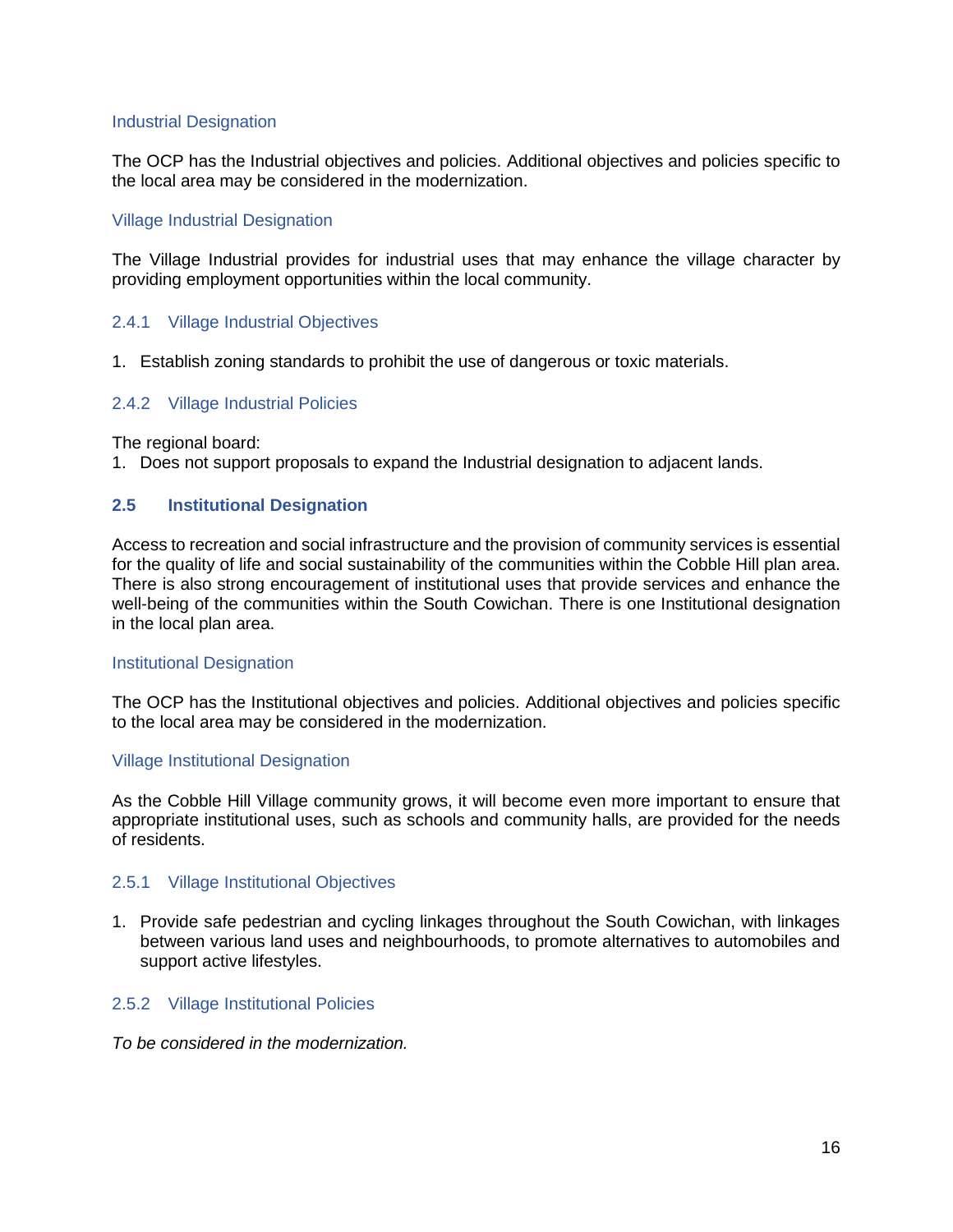## Industrial Designation

The OCP has the Industrial objectives and policies. Additional objectives and policies specific to the local area may be considered in the modernization.

### Village Industrial Designation

The Village Industrial provides for industrial uses that may enhance the village character by providing employment opportunities within the local community.

### <span id="page-15-0"></span>2.4.1 Village Industrial Objectives

1. Establish zoning standards to prohibit the use of dangerous or toxic materials.

### <span id="page-15-1"></span>2.4.2 Village Industrial Policies

The regional board:

1. Does not support proposals to expand the Industrial designation to adjacent lands.

# <span id="page-15-2"></span>**2.5 Institutional Designation**

Access to recreation and social infrastructure and the provision of community services is essential for the quality of life and social sustainability of the communities within the Cobble Hill plan area. There is also strong encouragement of institutional uses that provide services and enhance the well-being of the communities within the South Cowichan. There is one Institutional designation in the local plan area.

### Institutional Designation

The OCP has the Institutional objectives and policies. Additional objectives and policies specific to the local area may be considered in the modernization.

### Village Institutional Designation

As the Cobble Hill Village community grows, it will become even more important to ensure that appropriate institutional uses, such as schools and community halls, are provided for the needs of residents.

### <span id="page-15-3"></span>2.5.1 Village Institutional Objectives

1. Provide safe pedestrian and cycling linkages throughout the South Cowichan, with linkages between various land uses and neighbourhoods, to promote alternatives to automobiles and support active lifestyles.

### <span id="page-15-4"></span>2.5.2 Village Institutional Policies

*To be considered in the modernization.*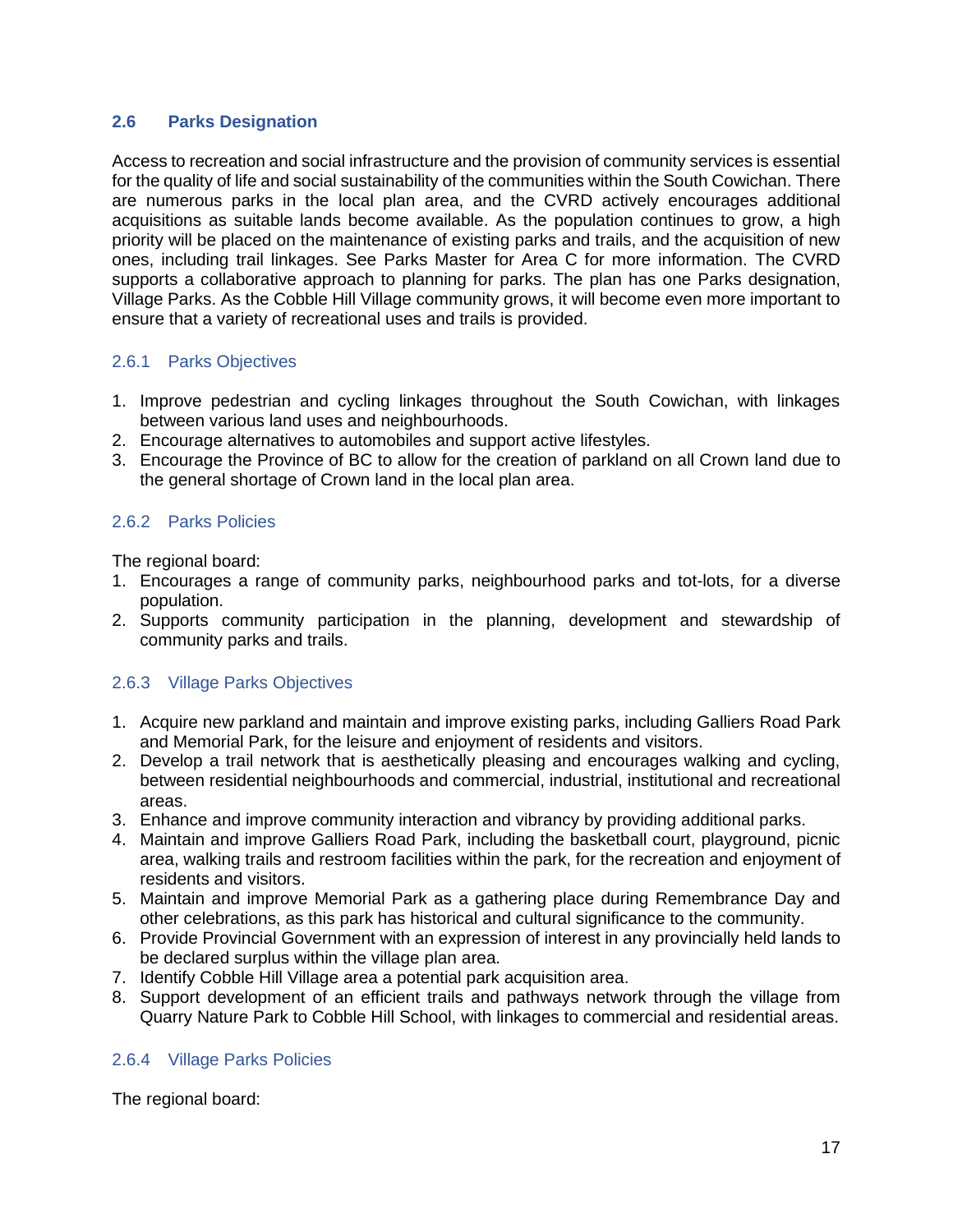# <span id="page-16-0"></span>**2.6 Parks Designation**

Access to recreation and social infrastructure and the provision of community services is essential for the quality of life and social sustainability of the communities within the South Cowichan. There are numerous parks in the local plan area, and the CVRD actively encourages additional acquisitions as suitable lands become available. As the population continues to grow, a high priority will be placed on the maintenance of existing parks and trails, and the acquisition of new ones, including trail linkages. See Parks Master for Area C for more information. The CVRD supports a collaborative approach to planning for parks. The plan has one Parks designation, Village Parks. As the Cobble Hill Village community grows, it will become even more important to ensure that a variety of recreational uses and trails is provided.

### <span id="page-16-1"></span>2.6.1 Parks Objectives

- 1. Improve pedestrian and cycling linkages throughout the South Cowichan, with linkages between various land uses and neighbourhoods.
- 2. Encourage alternatives to automobiles and support active lifestyles.
- 3. Encourage the Province of BC to allow for the creation of parkland on all Crown land due to the general shortage of Crown land in the local plan area.

# <span id="page-16-2"></span>2.6.2 Parks Policies

The regional board:

- 1. Encourages a range of community parks, neighbourhood parks and tot-lots, for a diverse population.
- 2. Supports community participation in the planning, development and stewardship of community parks and trails.

### <span id="page-16-3"></span>2.6.3 Village Parks Objectives

- 1. Acquire new parkland and maintain and improve existing parks, including Galliers Road Park and Memorial Park, for the leisure and enjoyment of residents and visitors.
- 2. Develop a trail network that is aesthetically pleasing and encourages walking and cycling, between residential neighbourhoods and commercial, industrial, institutional and recreational areas.
- 3. Enhance and improve community interaction and vibrancy by providing additional parks.
- 4. Maintain and improve Galliers Road Park, including the basketball court, playground, picnic area, walking trails and restroom facilities within the park, for the recreation and enjoyment of residents and visitors.
- 5. Maintain and improve Memorial Park as a gathering place during Remembrance Day and other celebrations, as this park has historical and cultural significance to the community.
- 6. Provide Provincial Government with an expression of interest in any provincially held lands to be declared surplus within the village plan area.
- 7. Identify Cobble Hill Village area a potential park acquisition area.
- 8. Support development of an efficient trails and pathways network through the village from Quarry Nature Park to Cobble Hill School, with linkages to commercial and residential areas.

# <span id="page-16-4"></span>2.6.4 Village Parks Policies

The regional board: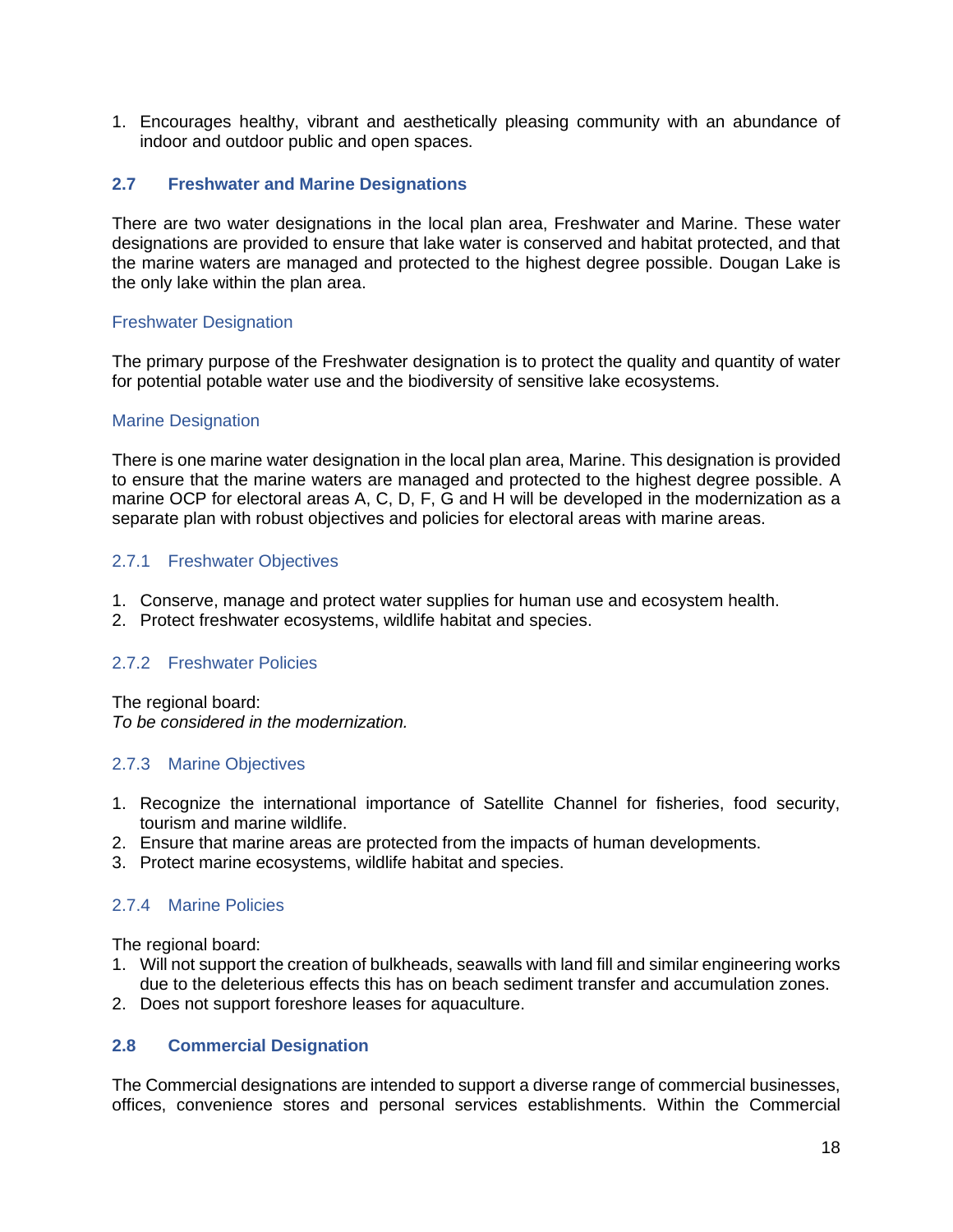1. Encourages healthy, vibrant and aesthetically pleasing community with an abundance of indoor and outdoor public and open spaces.

# <span id="page-17-0"></span>**2.7 Freshwater and Marine Designations**

There are two water designations in the local plan area, Freshwater and Marine. These water designations are provided to ensure that lake water is conserved and habitat protected, and that the marine waters are managed and protected to the highest degree possible. Dougan Lake is the only lake within the plan area.

### Freshwater Designation

The primary purpose of the Freshwater designation is to protect the quality and quantity of water for potential potable water use and the biodiversity of sensitive lake ecosystems.

### Marine Designation

There is one marine water designation in the local plan area, Marine. This designation is provided to ensure that the marine waters are managed and protected to the highest degree possible. A marine OCP for electoral areas A, C, D, F, G and H will be developed in the modernization as a separate plan with robust objectives and policies for electoral areas with marine areas.

# <span id="page-17-1"></span>2.7.1 Freshwater Objectives

- 1. Conserve, manage and protect water supplies for human use and ecosystem health.
- 2. Protect freshwater ecosystems, wildlife habitat and species.

# <span id="page-17-2"></span>2.7.2 Freshwater Policies

The regional board: *To be considered in the modernization.*

### <span id="page-17-3"></span>2.7.3 Marine Objectives

- 1. Recognize the international importance of Satellite Channel for fisheries, food security, tourism and marine wildlife.
- 2. Ensure that marine areas are protected from the impacts of human developments.
- 3. Protect marine ecosystems, wildlife habitat and species.

# <span id="page-17-4"></span>2.7.4 Marine Policies

The regional board:

- 1. Will not support the creation of bulkheads, seawalls with land fill and similar engineering works due to the deleterious effects this has on beach sediment transfer and accumulation zones.
- 2. Does not support foreshore leases for aquaculture.

### <span id="page-17-5"></span>**2.8 Commercial Designation**

The Commercial designations are intended to support a diverse range of commercial businesses, offices, convenience stores and personal services establishments. Within the Commercial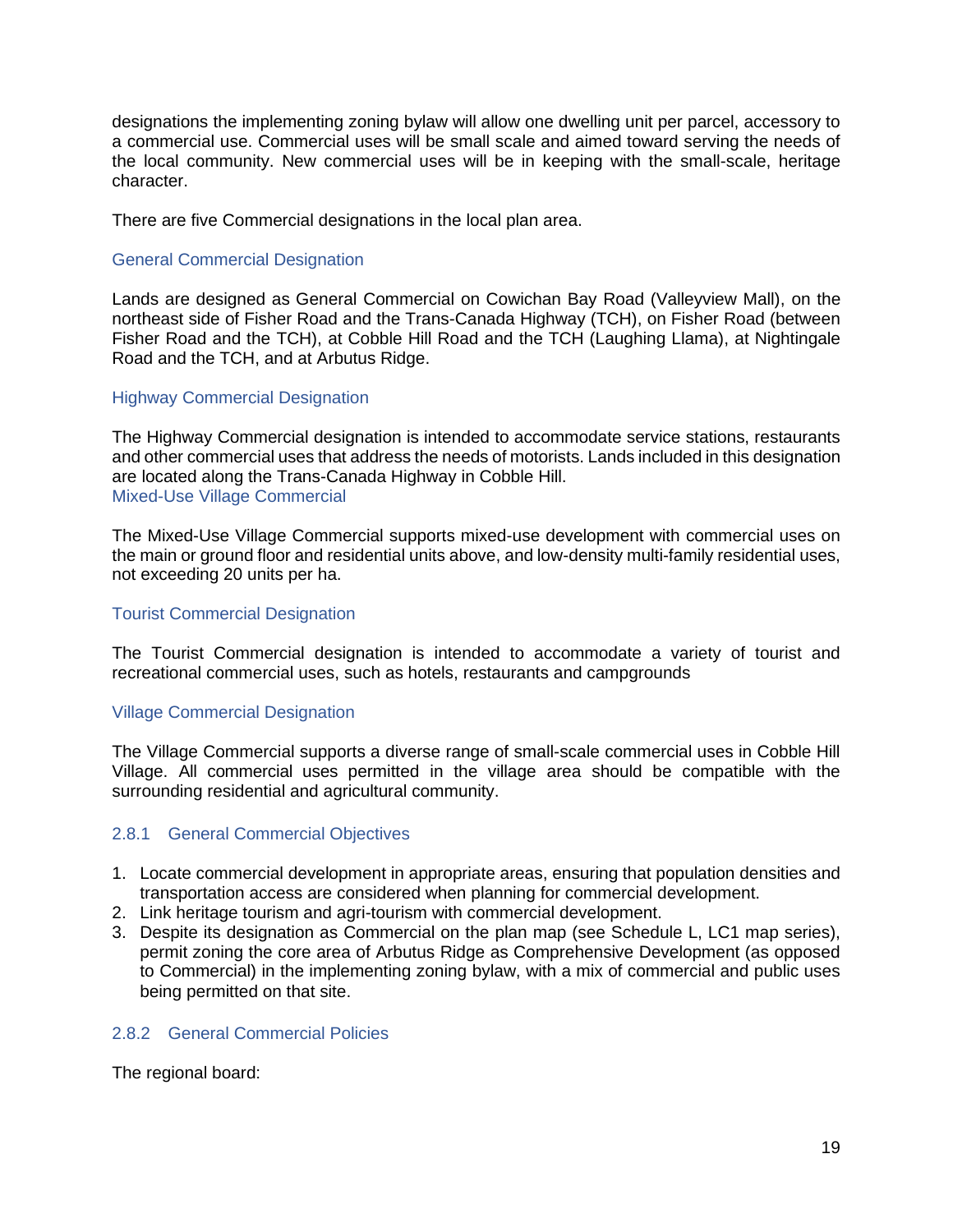designations the implementing zoning bylaw will allow one dwelling unit per parcel, accessory to a commercial use. Commercial uses will be small scale and aimed toward serving the needs of the local community. New commercial uses will be in keeping with the small-scale, heritage character.

There are five Commercial designations in the local plan area.

## General Commercial Designation

Lands are designed as General Commercial on Cowichan Bay Road (Valleyview Mall), on the northeast side of Fisher Road and the Trans-Canada Highway (TCH), on Fisher Road (between Fisher Road and the TCH), at Cobble Hill Road and the TCH (Laughing Llama), at Nightingale Road and the TCH, and at Arbutus Ridge.

### Highway Commercial Designation

The Highway Commercial designation is intended to accommodate service stations, restaurants and other commercial uses that address the needs of motorists. Lands included in this designation are located along the Trans-Canada Highway in Cobble Hill. Mixed-Use Village Commercial

The Mixed-Use Village Commercial supports mixed-use development with commercial uses on the main or ground floor and residential units above, and low-density multi-family residential uses, not exceeding 20 units per ha.

### Tourist Commercial Designation

The Tourist Commercial designation is intended to accommodate a variety of tourist and recreational commercial uses, such as hotels, restaurants and campgrounds

# Village Commercial Designation

The Village Commercial supports a diverse range of small-scale commercial uses in Cobble Hill Village. All commercial uses permitted in the village area should be compatible with the surrounding residential and agricultural community.

# <span id="page-18-0"></span>2.8.1 General Commercial Objectives

- 1. Locate commercial development in appropriate areas, ensuring that population densities and transportation access are considered when planning for commercial development.
- 2. Link heritage tourism and agri-tourism with commercial development.
- 3. Despite its designation as Commercial on the plan map (see Schedule L, LC1 map series), permit zoning the core area of Arbutus Ridge as Comprehensive Development (as opposed to Commercial) in the implementing zoning bylaw, with a mix of commercial and public uses being permitted on that site.

### <span id="page-18-1"></span>2.8.2 General Commercial Policies

The regional board: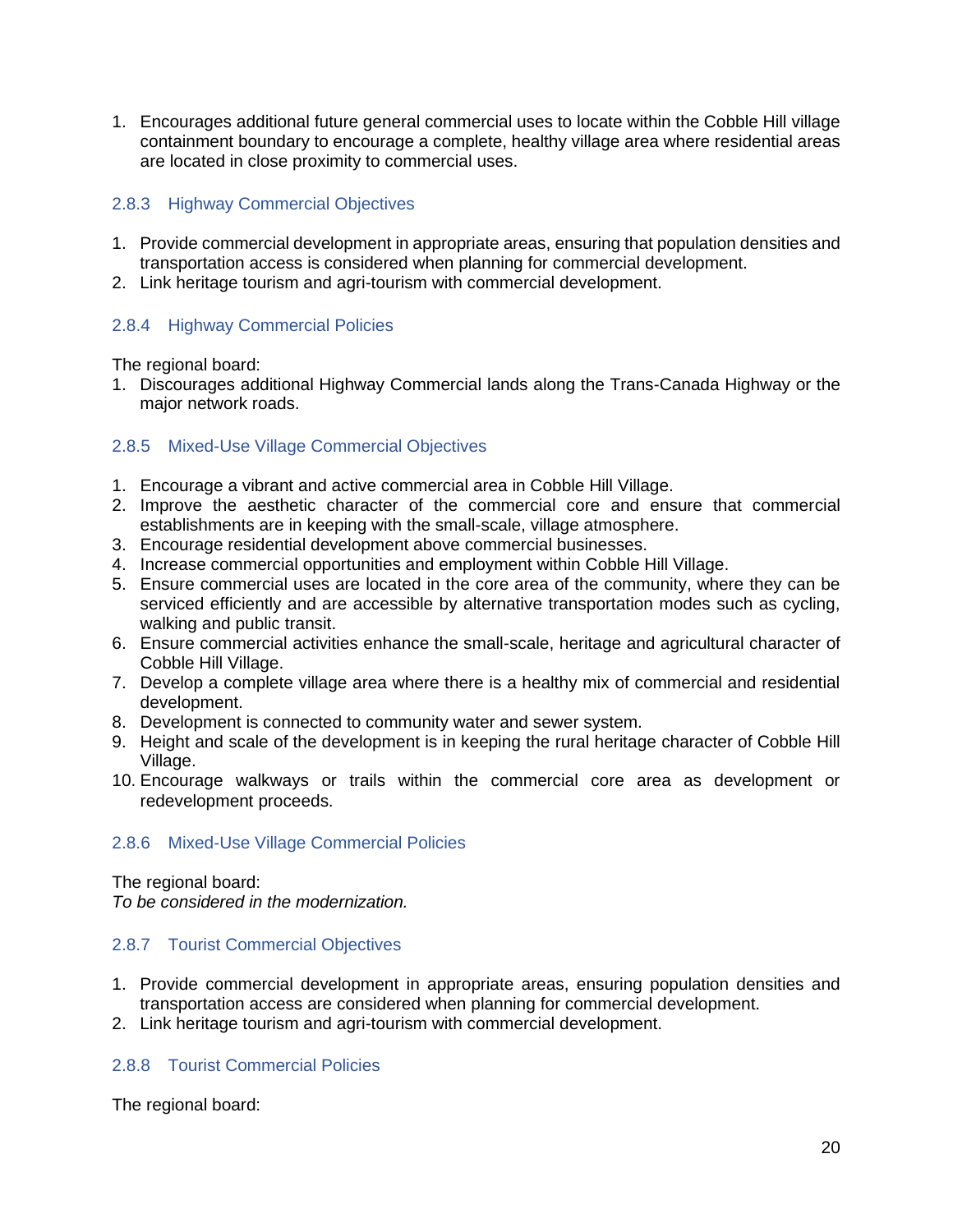1. Encourages additional future general commercial uses to locate within the Cobble Hill village containment boundary to encourage a complete, healthy village area where residential areas are located in close proximity to commercial uses.

# <span id="page-19-0"></span>2.8.3 Highway Commercial Objectives

- 1. Provide commercial development in appropriate areas, ensuring that population densities and transportation access is considered when planning for commercial development.
- 2. Link heritage tourism and agri-tourism with commercial development.

# <span id="page-19-1"></span>2.8.4 Highway Commercial Policies

The regional board:

1. Discourages additional Highway Commercial lands along the Trans-Canada Highway or the major network roads.

# <span id="page-19-2"></span>2.8.5 Mixed-Use Village Commercial Objectives

- 1. Encourage a vibrant and active commercial area in Cobble Hill Village.
- 2. Improve the aesthetic character of the commercial core and ensure that commercial establishments are in keeping with the small-scale, village atmosphere.
- 3. Encourage residential development above commercial businesses.
- 4. Increase commercial opportunities and employment within Cobble Hill Village.
- 5. Ensure commercial uses are located in the core area of the community, where they can be serviced efficiently and are accessible by alternative transportation modes such as cycling, walking and public transit.
- 6. Ensure commercial activities enhance the small-scale, heritage and agricultural character of Cobble Hill Village.
- 7. Develop a complete village area where there is a healthy mix of commercial and residential development.
- 8. Development is connected to community water and sewer system.
- 9. Height and scale of the development is in keeping the rural heritage character of Cobble Hill Village.
- 10. Encourage walkways or trails within the commercial core area as development or redevelopment proceeds.

# <span id="page-19-3"></span>2.8.6 Mixed-Use Village Commercial Policies

The regional board:

*To be considered in the modernization.*

# <span id="page-19-4"></span>2.8.7 Tourist Commercial Objectives

- 1. Provide commercial development in appropriate areas, ensuring population densities and transportation access are considered when planning for commercial development.
- 2. Link heritage tourism and agri-tourism with commercial development.

# <span id="page-19-5"></span>2.8.8 Tourist Commercial Policies

The regional board: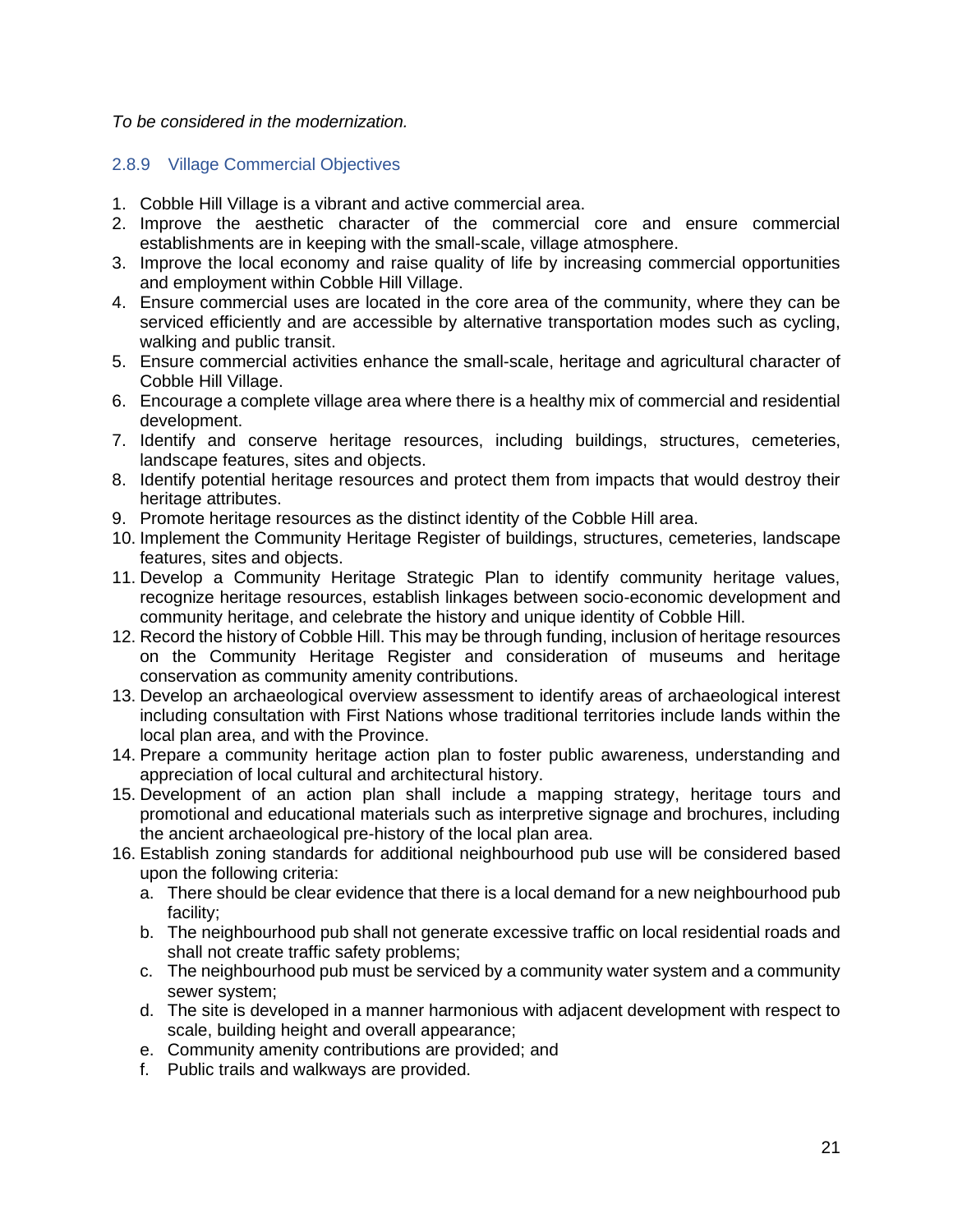## *To be considered in the modernization.*

# <span id="page-20-0"></span>2.8.9 Village Commercial Objectives

- 1. Cobble Hill Village is a vibrant and active commercial area.
- 2. Improve the aesthetic character of the commercial core and ensure commercial establishments are in keeping with the small-scale, village atmosphere.
- 3. Improve the local economy and raise quality of life by increasing commercial opportunities and employment within Cobble Hill Village.
- 4. Ensure commercial uses are located in the core area of the community, where they can be serviced efficiently and are accessible by alternative transportation modes such as cycling, walking and public transit.
- 5. Ensure commercial activities enhance the small-scale, heritage and agricultural character of Cobble Hill Village.
- 6. Encourage a complete village area where there is a healthy mix of commercial and residential development.
- 7. Identify and conserve heritage resources, including buildings, structures, cemeteries, landscape features, sites and objects.
- 8. Identify potential heritage resources and protect them from impacts that would destroy their heritage attributes.
- 9. Promote heritage resources as the distinct identity of the Cobble Hill area.
- 10. Implement the Community Heritage Register of buildings, structures, cemeteries, landscape features, sites and objects.
- 11. Develop a Community Heritage Strategic Plan to identify community heritage values, recognize heritage resources, establish linkages between socio-economic development and community heritage, and celebrate the history and unique identity of Cobble Hill.
- 12. Record the history of Cobble Hill. This may be through funding, inclusion of heritage resources on the Community Heritage Register and consideration of museums and heritage conservation as community amenity contributions.
- 13. Develop an archaeological overview assessment to identify areas of archaeological interest including consultation with First Nations whose traditional territories include lands within the local plan area, and with the Province.
- 14. Prepare a community heritage action plan to foster public awareness, understanding and appreciation of local cultural and architectural history.
- 15. Development of an action plan shall include a mapping strategy, heritage tours and promotional and educational materials such as interpretive signage and brochures, including the ancient archaeological pre-history of the local plan area.
- 16. Establish zoning standards for additional neighbourhood pub use will be considered based upon the following criteria:
	- a. There should be clear evidence that there is a local demand for a new neighbourhood pub facility;
	- b. The neighbourhood pub shall not generate excessive traffic on local residential roads and shall not create traffic safety problems;
	- c. The neighbourhood pub must be serviced by a community water system and a community sewer system;
	- d. The site is developed in a manner harmonious with adjacent development with respect to scale, building height and overall appearance;
	- e. Community amenity contributions are provided; and
	- f. Public trails and walkways are provided.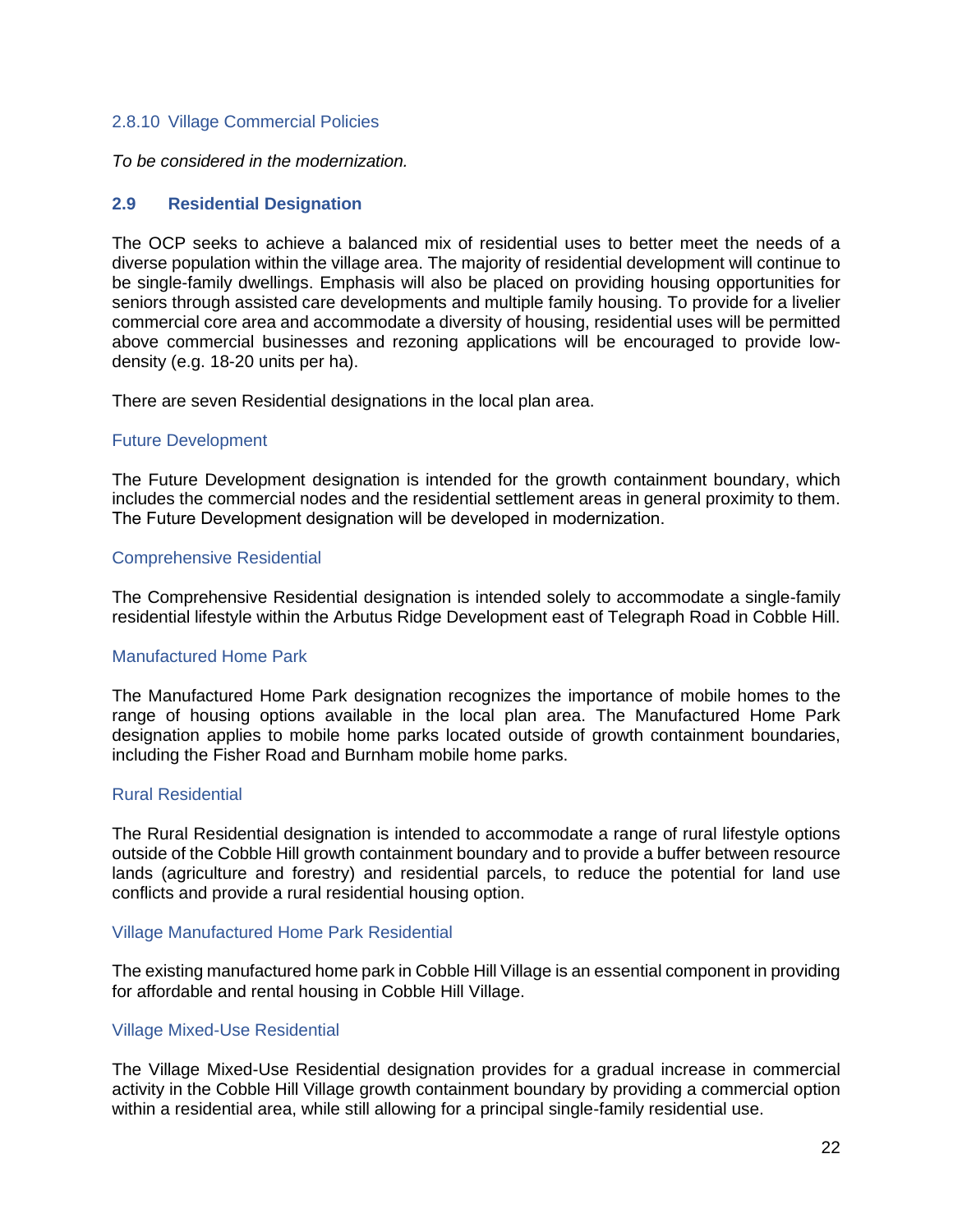### <span id="page-21-0"></span>2.8.10 Village Commercial Policies

*To be considered in the modernization.*

## <span id="page-21-1"></span>**2.9 Residential Designation**

The OCP seeks to achieve a balanced mix of residential uses to better meet the needs of a diverse population within the village area. The majority of residential development will continue to be single-family dwellings. Emphasis will also be placed on providing housing opportunities for seniors through assisted care developments and multiple family housing. To provide for a livelier commercial core area and accommodate a diversity of housing, residential uses will be permitted above commercial businesses and rezoning applications will be encouraged to provide lowdensity (e.g. 18-20 units per ha).

There are seven Residential designations in the local plan area.

### Future Development

The Future Development designation is intended for the growth containment boundary, which includes the commercial nodes and the residential settlement areas in general proximity to them. The Future Development designation will be developed in modernization.

### Comprehensive Residential

The Comprehensive Residential designation is intended solely to accommodate a single-family residential lifestyle within the Arbutus Ridge Development east of Telegraph Road in Cobble Hill.

### Manufactured Home Park

The Manufactured Home Park designation recognizes the importance of mobile homes to the range of housing options available in the local plan area. The Manufactured Home Park designation applies to mobile home parks located outside of growth containment boundaries, including the Fisher Road and Burnham mobile home parks.

### Rural Residential

The Rural Residential designation is intended to accommodate a range of rural lifestyle options outside of the Cobble Hill growth containment boundary and to provide a buffer between resource lands (agriculture and forestry) and residential parcels, to reduce the potential for land use conflicts and provide a rural residential housing option.

### Village Manufactured Home Park Residential

The existing manufactured home park in Cobble Hill Village is an essential component in providing for affordable and rental housing in Cobble Hill Village.

### Village Mixed-Use Residential

The Village Mixed-Use Residential designation provides for a gradual increase in commercial activity in the Cobble Hill Village growth containment boundary by providing a commercial option within a residential area, while still allowing for a principal single-family residential use.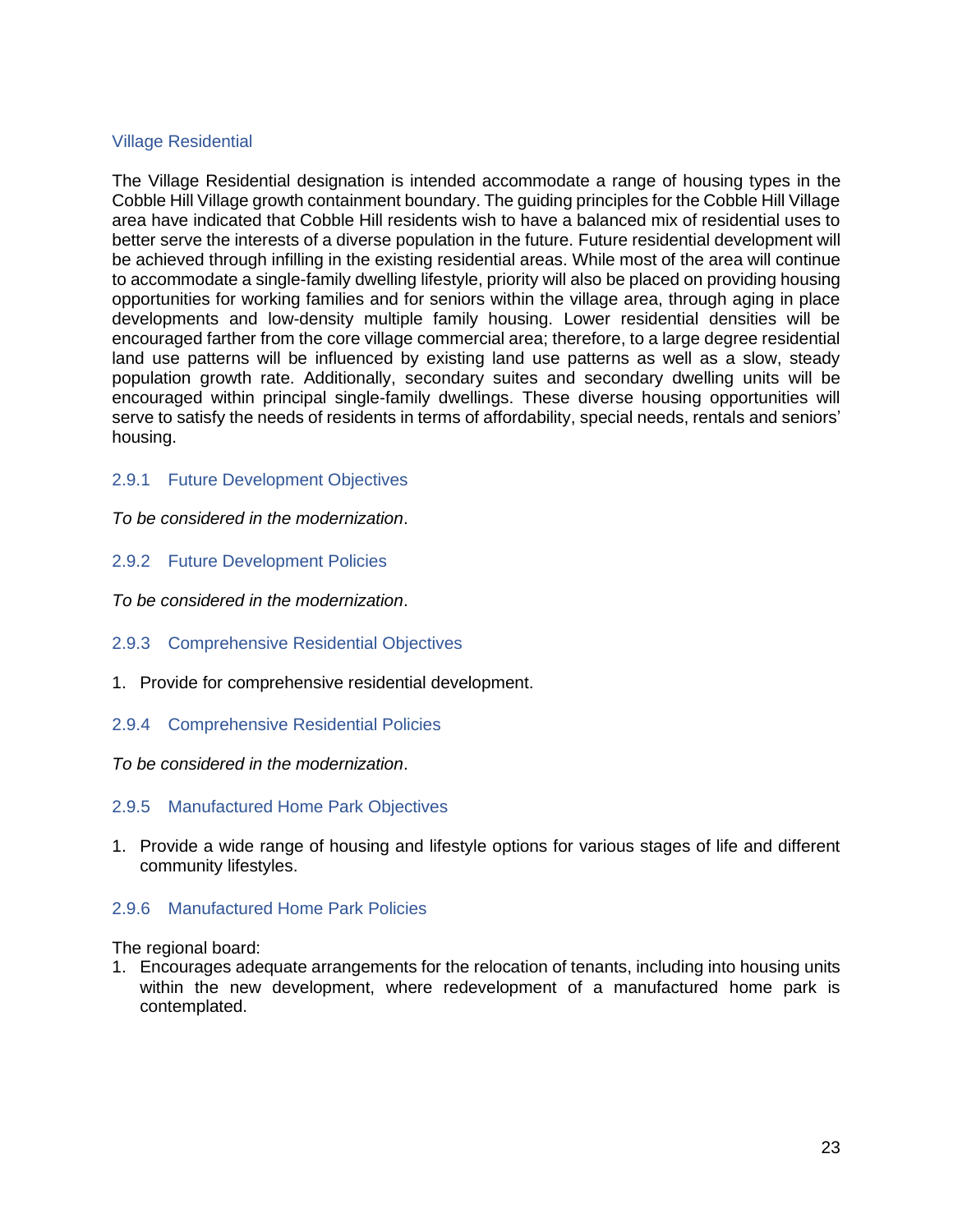### Village Residential

The Village Residential designation is intended accommodate a range of housing types in the Cobble Hill Village growth containment boundary. The guiding principles for the Cobble Hill Village area have indicated that Cobble Hill residents wish to have a balanced mix of residential uses to better serve the interests of a diverse population in the future. Future residential development will be achieved through infilling in the existing residential areas. While most of the area will continue to accommodate a single-family dwelling lifestyle, priority will also be placed on providing housing opportunities for working families and for seniors within the village area, through aging in place developments and low-density multiple family housing. Lower residential densities will be encouraged farther from the core village commercial area; therefore, to a large degree residential land use patterns will be influenced by existing land use patterns as well as a slow, steady population growth rate. Additionally, secondary suites and secondary dwelling units will be encouraged within principal single-family dwellings. These diverse housing opportunities will serve to satisfy the needs of residents in terms of affordability, special needs, rentals and seniors' housing.

### <span id="page-22-0"></span>2.9.1 Future Development Objectives

*To be considered in the modernization*.

- <span id="page-22-1"></span>2.9.2 Future Development Policies
- *To be considered in the modernization*.
- <span id="page-22-2"></span>2.9.3 Comprehensive Residential Objectives
- 1. Provide for comprehensive residential development.
- <span id="page-22-3"></span>2.9.4 Comprehensive Residential Policies

*To be considered in the modernization*.

### <span id="page-22-4"></span>2.9.5 Manufactured Home Park Objectives

1. Provide a wide range of housing and lifestyle options for various stages of life and different community lifestyles.

### <span id="page-22-5"></span>2.9.6 Manufactured Home Park Policies

The regional board:

1. Encourages adequate arrangements for the relocation of tenants, including into housing units within the new development, where redevelopment of a manufactured home park is contemplated.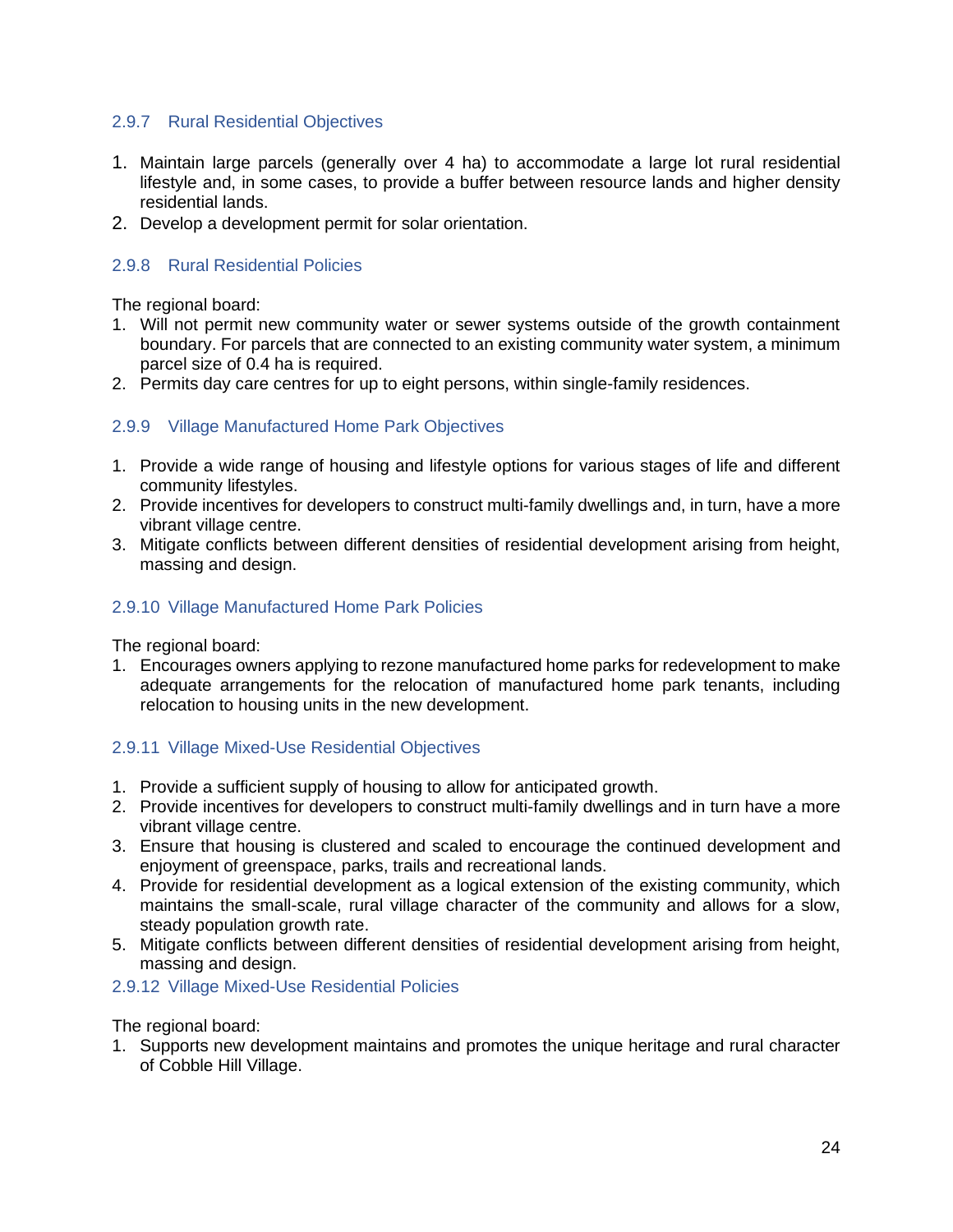# <span id="page-23-0"></span>2.9.7 Rural Residential Objectives

- 1. Maintain large parcels (generally over 4 ha) to accommodate a large lot rural residential lifestyle and, in some cases, to provide a buffer between resource lands and higher density residential lands.
- 2. Develop a development permit for solar orientation.

# <span id="page-23-1"></span>2.9.8 Rural Residential Policies

The regional board:

- 1. Will not permit new community water or sewer systems outside of the growth containment boundary. For parcels that are connected to an existing community water system, a minimum parcel size of 0.4 ha is required.
- 2. Permits day care centres for up to eight persons, within single-family residences.

# <span id="page-23-2"></span>2.9.9 Village Manufactured Home Park Objectives

- 1. Provide a wide range of housing and lifestyle options for various stages of life and different community lifestyles.
- 2. Provide incentives for developers to construct multi-family dwellings and, in turn, have a more vibrant village centre.
- 3. Mitigate conflicts between different densities of residential development arising from height, massing and design.

## <span id="page-23-3"></span>2.9.10 Village Manufactured Home Park Policies

The regional board:

1. Encourages owners applying to rezone manufactured home parks for redevelopment to make adequate arrangements for the relocation of manufactured home park tenants, including relocation to housing units in the new development.

# <span id="page-23-4"></span>2.9.11 Village Mixed-Use Residential Objectives

- 1. Provide a sufficient supply of housing to allow for anticipated growth.
- 2. Provide incentives for developers to construct multi-family dwellings and in turn have a more vibrant village centre.
- 3. Ensure that housing is clustered and scaled to encourage the continued development and enjoyment of greenspace, parks, trails and recreational lands.
- 4. Provide for residential development as a logical extension of the existing community, which maintains the small-scale, rural village character of the community and allows for a slow, steady population growth rate.
- 5. Mitigate conflicts between different densities of residential development arising from height, massing and design.

### <span id="page-23-5"></span>2.9.12 Village Mixed-Use Residential Policies

The regional board:

1. Supports new development maintains and promotes the unique heritage and rural character of Cobble Hill Village.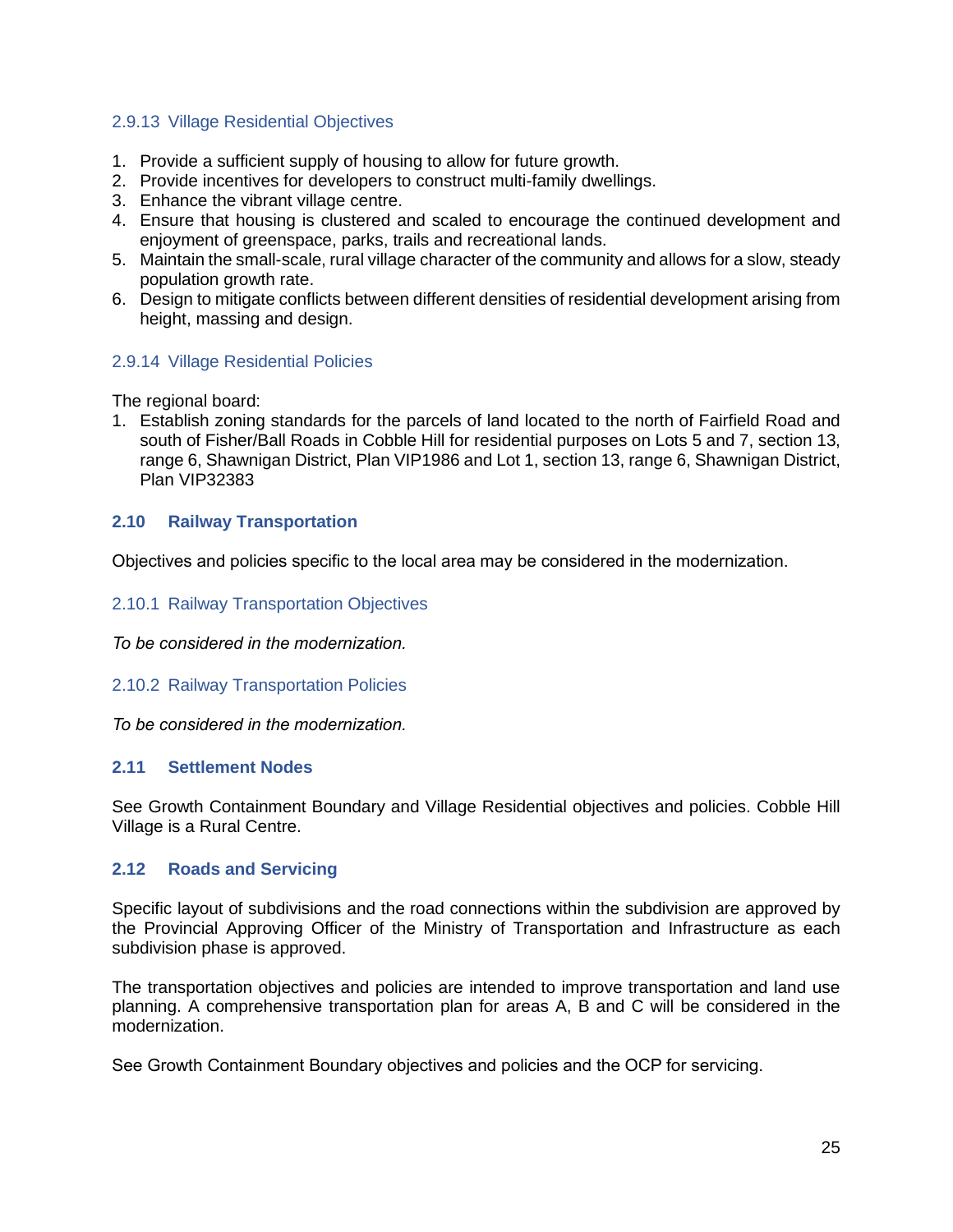### <span id="page-24-0"></span>2.9.13 Village Residential Objectives

- 1. Provide a sufficient supply of housing to allow for future growth.
- 2. Provide incentives for developers to construct multi-family dwellings.
- 3. Enhance the vibrant village centre.
- 4. Ensure that housing is clustered and scaled to encourage the continued development and enjoyment of greenspace, parks, trails and recreational lands.
- 5. Maintain the small-scale, rural village character of the community and allows for a slow, steady population growth rate.
- 6. Design to mitigate conflicts between different densities of residential development arising from height, massing and design.

### <span id="page-24-1"></span>2.9.14 Village Residential Policies

The regional board:

1. Establish zoning standards for the parcels of land located to the north of Fairfield Road and south of Fisher/Ball Roads in Cobble Hill for residential purposes on Lots 5 and 7, section 13, range 6, Shawnigan District, Plan VIP1986 and Lot 1, section 13, range 6, Shawnigan District, Plan VIP32383

# <span id="page-24-2"></span>**2.10 Railway Transportation**

Objectives and policies specific to the local area may be considered in the modernization.

### <span id="page-24-3"></span>2.10.1 Railway Transportation Objectives

*To be considered in the modernization.*

<span id="page-24-4"></span>2.10.2 Railway Transportation Policies

*To be considered in the modernization.* 

### <span id="page-24-5"></span>**2.11 Settlement Nodes**

See Growth Containment Boundary and Village Residential objectives and policies. Cobble Hill Village is a Rural Centre.

# <span id="page-24-6"></span>**2.12 Roads and Servicing**

Specific layout of subdivisions and the road connections within the subdivision are approved by the Provincial Approving Officer of the Ministry of Transportation and Infrastructure as each subdivision phase is approved.

The transportation objectives and policies are intended to improve transportation and land use planning. A comprehensive transportation plan for areas A, B and C will be considered in the modernization.

See Growth Containment Boundary objectives and policies and the OCP for servicing.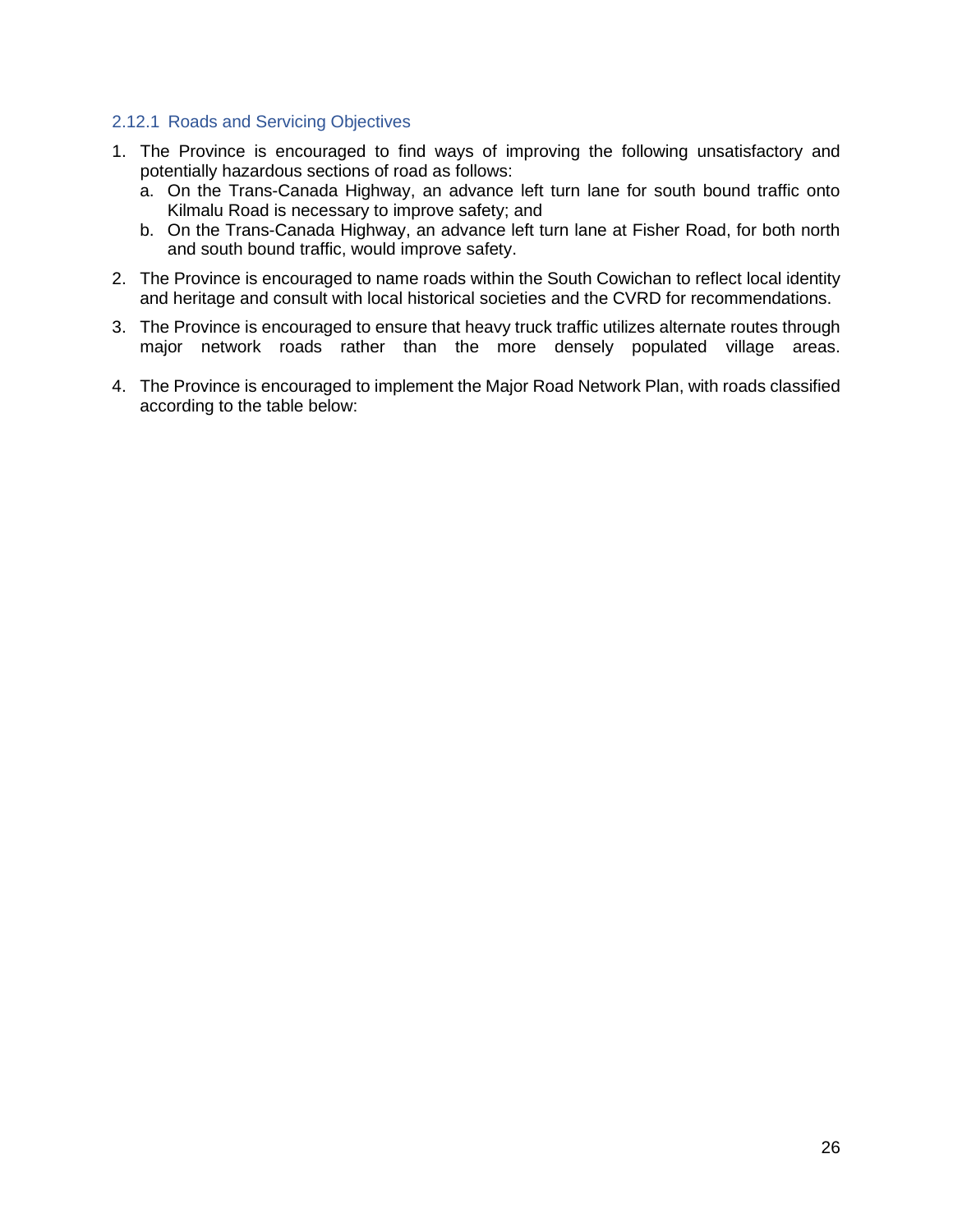### <span id="page-25-0"></span>2.12.1 Roads and Servicing Objectives

- 1. The Province is encouraged to find ways of improving the following unsatisfactory and potentially hazardous sections of road as follows:
	- a. On the Trans-Canada Highway, an advance left turn lane for south bound traffic onto Kilmalu Road is necessary to improve safety; and
	- b. On the Trans-Canada Highway, an advance left turn lane at Fisher Road, for both north and south bound traffic, would improve safety.
- 2. The Province is encouraged to name roads within the South Cowichan to reflect local identity and heritage and consult with local historical societies and the CVRD for recommendations.
- 3. The Province is encouraged to ensure that heavy truck traffic utilizes alternate routes through major network roads rather than the more densely populated village areas.
- 4. The Province is encouraged to implement the Major Road Network Plan, with roads classified according to the table below: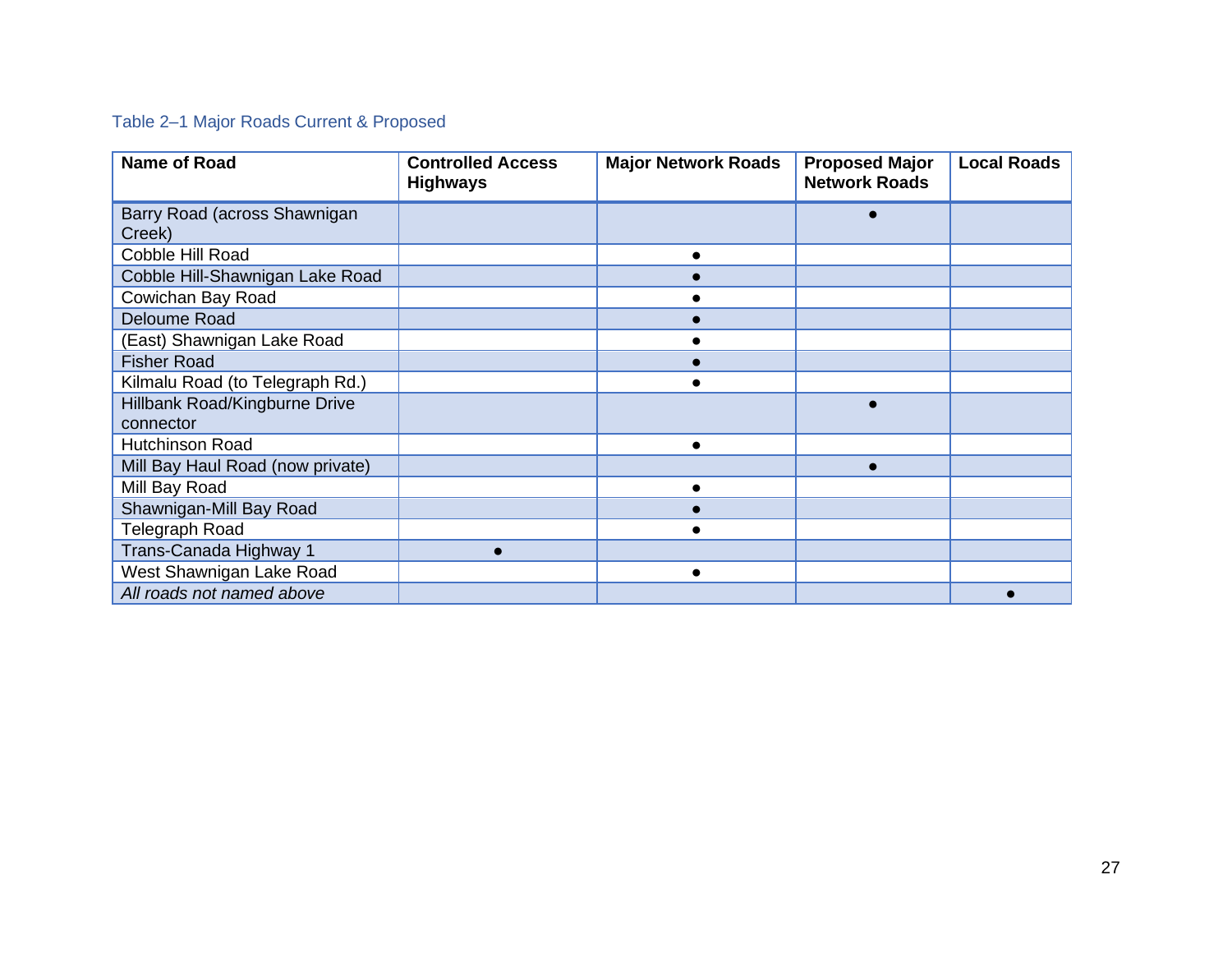# Table 2–1 Major Roads Current & Proposed

<span id="page-26-0"></span>

| <b>Name of Road</b>                        | <b>Controlled Access</b><br><b>Highways</b> | <b>Major Network Roads</b> | <b>Proposed Major</b><br><b>Network Roads</b> | <b>Local Roads</b> |
|--------------------------------------------|---------------------------------------------|----------------------------|-----------------------------------------------|--------------------|
| Barry Road (across Shawnigan<br>Creek)     |                                             |                            |                                               |                    |
| Cobble Hill Road                           |                                             | $\bullet$                  |                                               |                    |
| Cobble Hill-Shawnigan Lake Road            |                                             |                            |                                               |                    |
| Cowichan Bay Road                          |                                             |                            |                                               |                    |
| Deloume Road                               |                                             |                            |                                               |                    |
| (East) Shawnigan Lake Road                 |                                             |                            |                                               |                    |
| <b>Fisher Road</b>                         |                                             |                            |                                               |                    |
| Kilmalu Road (to Telegraph Rd.)            |                                             | e                          |                                               |                    |
| Hillbank Road/Kingburne Drive<br>connector |                                             |                            |                                               |                    |
| <b>Hutchinson Road</b>                     |                                             | $\bullet$                  |                                               |                    |
| Mill Bay Haul Road (now private)           |                                             |                            |                                               |                    |
| Mill Bay Road                              |                                             |                            |                                               |                    |
| Shawnigan-Mill Bay Road                    |                                             |                            |                                               |                    |
| Telegraph Road                             |                                             | $\bullet$                  |                                               |                    |
| Trans-Canada Highway 1                     |                                             |                            |                                               |                    |
| West Shawnigan Lake Road                   |                                             |                            |                                               |                    |
| All roads not named above                  |                                             |                            |                                               |                    |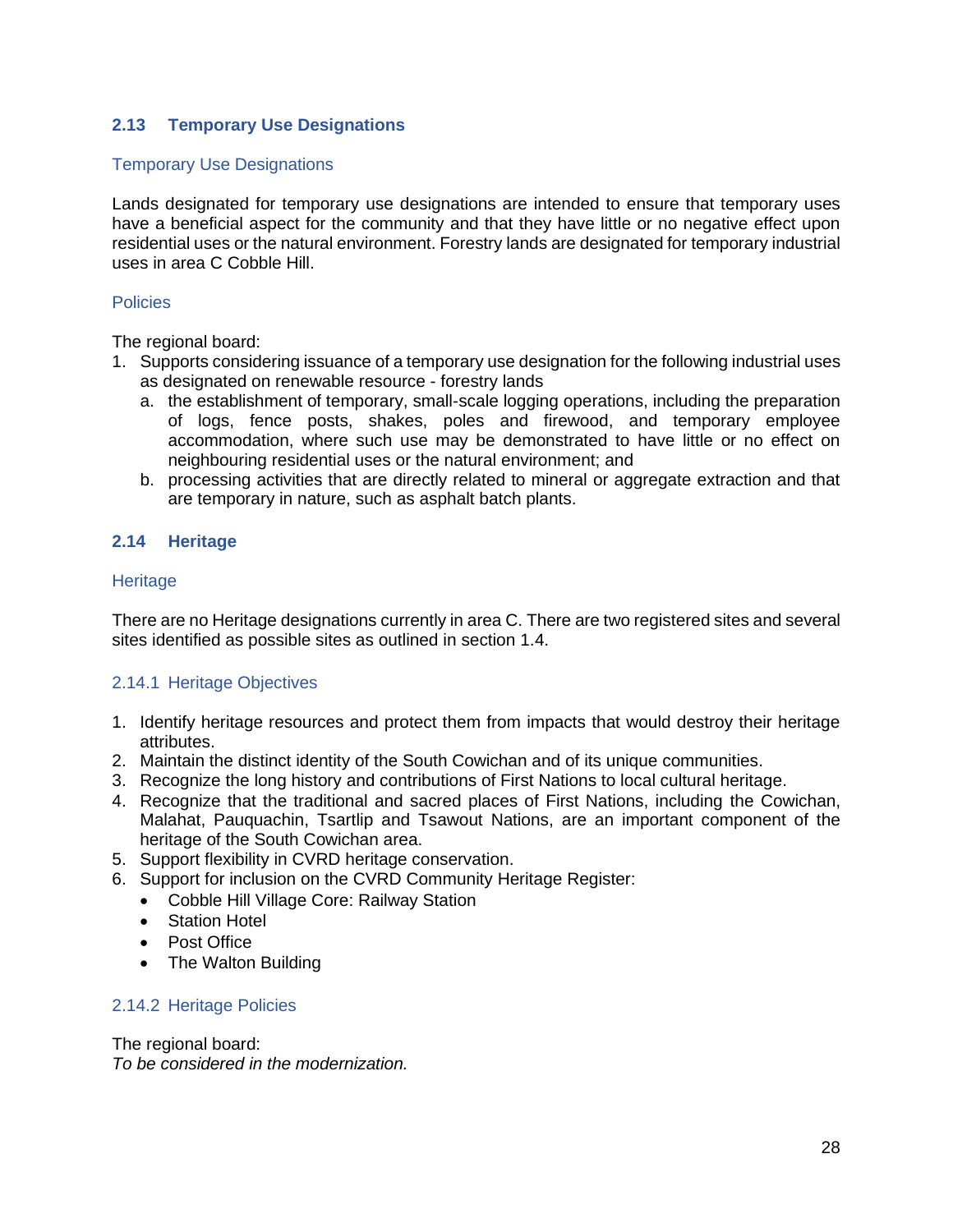# <span id="page-27-0"></span>**2.13 Temporary Use Designations**

## Temporary Use Designations

Lands designated for temporary use designations are intended to ensure that temporary uses have a beneficial aspect for the community and that they have little or no negative effect upon residential uses or the natural environment. Forestry lands are designated for temporary industrial uses in area C Cobble Hill.

### Policies

The regional board:

- 1. Supports considering issuance of a temporary use designation for the following industrial uses as designated on renewable resource - forestry lands
	- a. the establishment of temporary, small-scale logging operations, including the preparation of logs, fence posts, shakes, poles and firewood, and temporary employee accommodation, where such use may be demonstrated to have little or no effect on neighbouring residential uses or the natural environment; and
	- b. processing activities that are directly related to mineral or aggregate extraction and that are temporary in nature, such as asphalt batch plants.

# <span id="page-27-1"></span>**2.14 Heritage**

### **Heritage**

There are no Heritage designations currently in area C. There are two registered sites and several sites identified as possible sites as outlined in section 1.4.

# <span id="page-27-2"></span>2.14.1 Heritage Objectives

- 1. Identify heritage resources and protect them from impacts that would destroy their heritage attributes.
- 2. Maintain the distinct identity of the South Cowichan and of its unique communities.
- 3. Recognize the long history and contributions of First Nations to local cultural heritage.
- 4. Recognize that the traditional and sacred places of First Nations, including the Cowichan, Malahat, Pauquachin, Tsartlip and Tsawout Nations, are an important component of the heritage of the South Cowichan area.
- 5. Support flexibility in CVRD heritage conservation.
- 6. Support for inclusion on the CVRD Community Heritage Register:
	- Cobble Hill Village Core: Railway Station
	- Station Hotel
	- Post Office
	- The Walton Building

# <span id="page-27-3"></span>2.14.2 Heritage Policies

The regional board: *To be considered in the modernization.*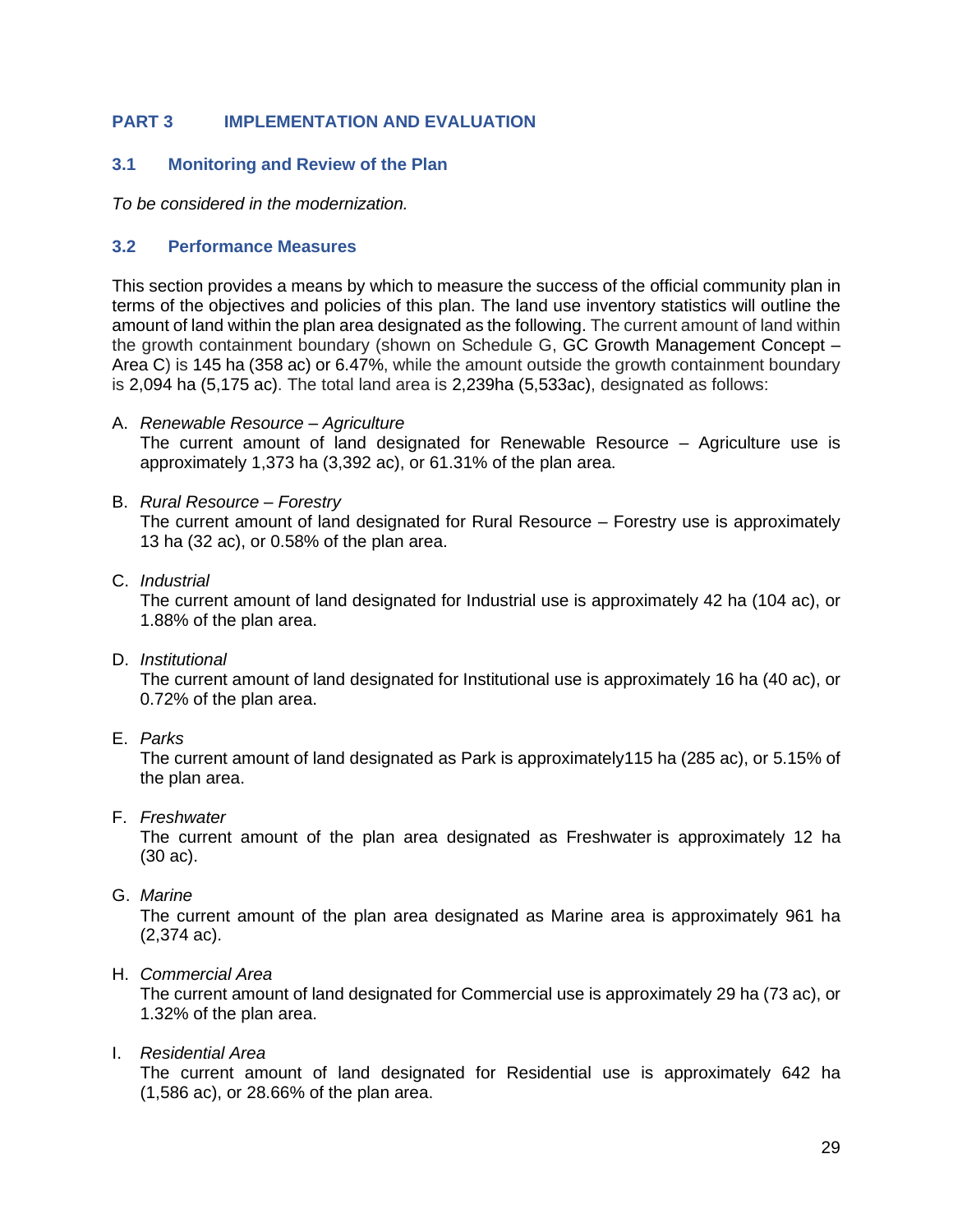# <span id="page-28-0"></span>**PART 3 IMPLEMENTATION AND EVALUATION**

## <span id="page-28-1"></span>**3.1 Monitoring and Review of the Plan**

*To be considered in the modernization.*

### <span id="page-28-2"></span>**3.2 Performance Measures**

This section provides a means by which to measure the success of the official community plan in terms of the objectives and policies of this plan. The land use inventory statistics will outline the amount of land within the plan area designated as the following. The current amount of land within the growth containment boundary (shown on Schedule G, GC Growth Management Concept – Area C) is 145 ha (358 ac) or 6.47%, while the amount outside the growth containment boundary is 2,094 ha (5,175 ac). The total land area is 2,239ha (5,533ac), designated as follows:

- A. *Renewable Resource – Agriculture* The current amount of land designated for Renewable Resource – Agriculture use is approximately 1,373 ha (3,392 ac), or 61.31% of the plan area.
- B. *Rural Resource – Forestry* The current amount of land designated for Rural Resource – Forestry use is approximately 13 ha (32 ac), or 0.58% of the plan area.
- C. *Industrial*

The current amount of land designated for Industrial use is approximately 42 ha (104 ac), or 1.88% of the plan area.

D. *Institutional*

The current amount of land designated for Institutional use is approximately 16 ha (40 ac), or 0.72% of the plan area.

E. *Parks*

The current amount of land designated as Park is approximately115 ha (285 ac), or 5.15% of the plan area.

F. *Freshwater*

The current amount of the plan area designated as Freshwater is approximately 12 ha (30 ac).

G. *Marine*

The current amount of the plan area designated as Marine area is approximately 961 ha (2,374 ac).

H. *Commercial Area*

The current amount of land designated for Commercial use is approximately 29 ha (73 ac), or 1.32% of the plan area.

I. *Residential Area*

The current amount of land designated for Residential use is approximately 642 ha (1,586 ac), or 28.66% of the plan area.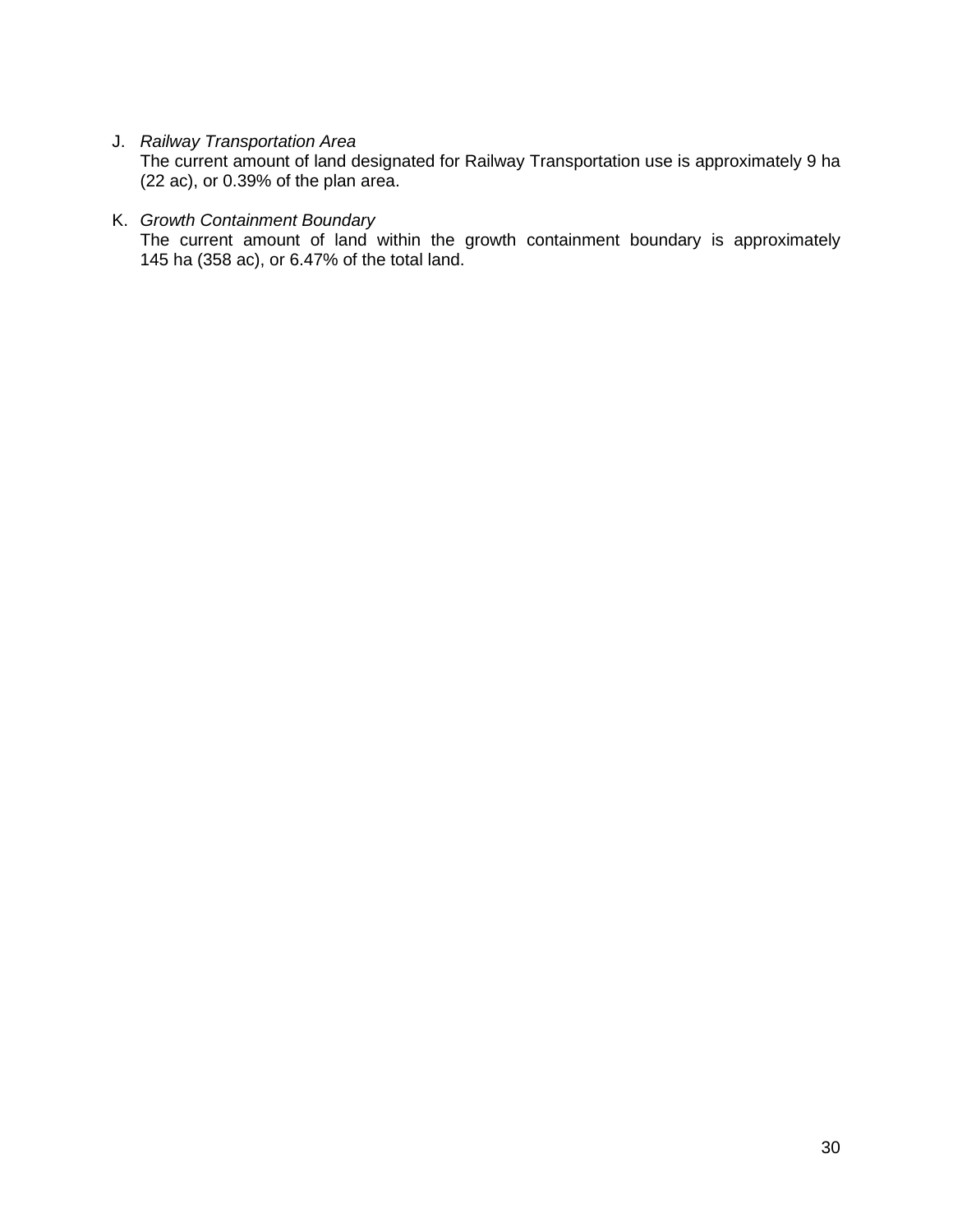J. *Railway Transportation Area*

The current amount of land designated for Railway Transportation use is approximately 9 ha (22 ac), or 0.39% of the plan area.

# K. *Growth Containment Boundary*

The current amount of land within the growth containment boundary is approximately 145 ha (358 ac), or 6.47% of the total land.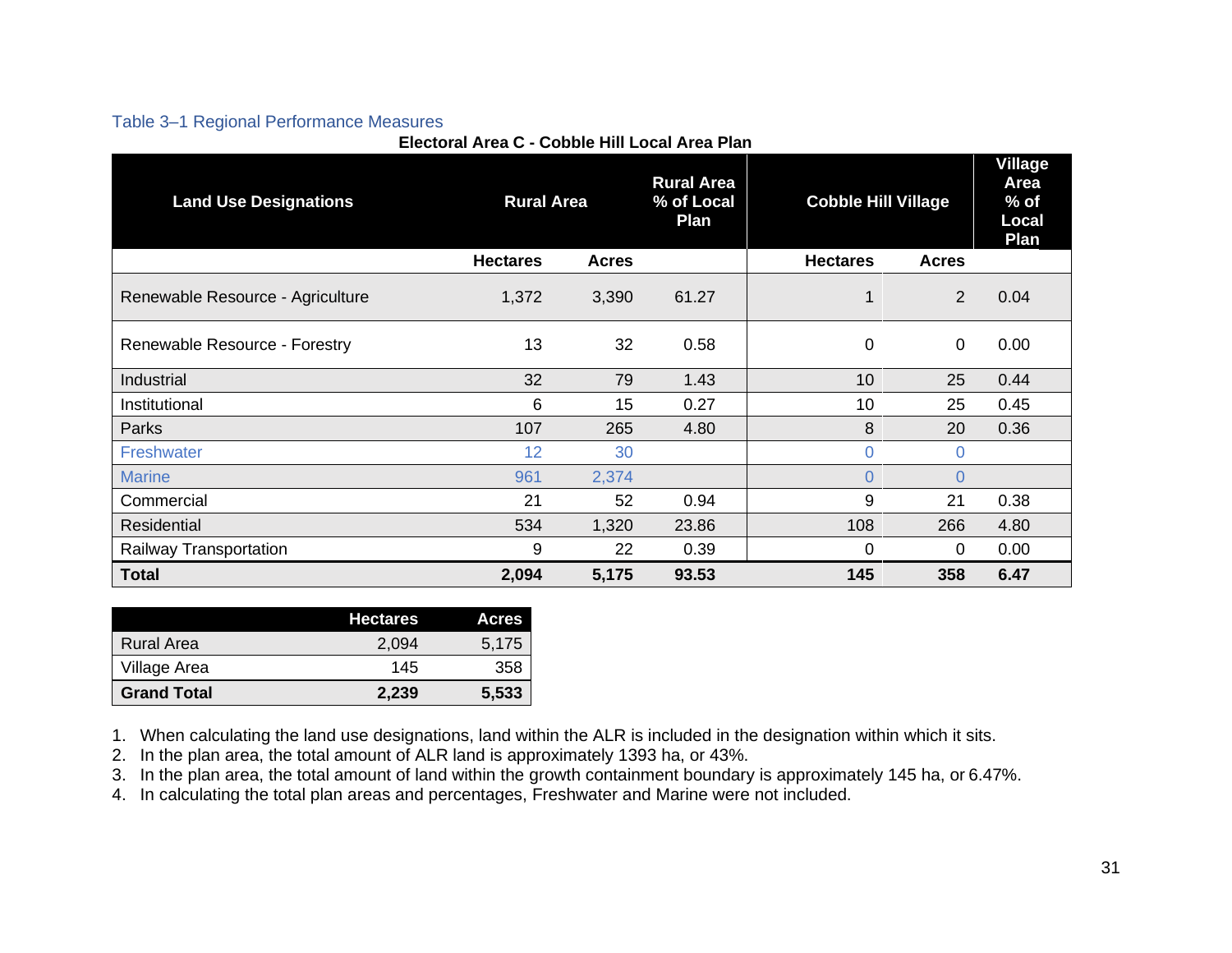# Table 3–1 Regional Performance Measures

**Electoral Area C - Cobble Hill Local Area Plan**

| <b>Land Use Designations</b>     | <b>Rural Area</b> |              | <b>Rural Area</b><br>% of Local<br><b>Plan</b> | <b>Cobble Hill Village</b> |                | <b>Village</b><br>Area<br>$%$ of<br>Local<br>Plan |
|----------------------------------|-------------------|--------------|------------------------------------------------|----------------------------|----------------|---------------------------------------------------|
|                                  | <b>Hectares</b>   | <b>Acres</b> |                                                | <b>Hectares</b>            | <b>Acres</b>   |                                                   |
| Renewable Resource - Agriculture | 1,372             | 3,390        | 61.27                                          |                            | 2              | 0.04                                              |
| Renewable Resource - Forestry    | 13                | 32           | 0.58                                           | 0                          | 0              | 0.00                                              |
| Industrial                       | 32                | 79           | 1.43                                           | 10                         | 25             | 0.44                                              |
| Institutional                    | 6                 | 15           | 0.27                                           | 10                         | 25             | 0.45                                              |
| Parks                            | 107               | 265          | 4.80                                           | 8                          | 20             | 0.36                                              |
| Freshwater                       | 12                | 30           |                                                | 0                          | 0              |                                                   |
| <b>Marine</b>                    | 961               | 2,374        |                                                | $\Omega$                   | $\overline{0}$ |                                                   |
| Commercial                       | 21                | 52           | 0.94                                           | 9                          | 21             | 0.38                                              |
| Residential                      | 534               | 1,320        | 23.86                                          | 108                        | 266            | 4.80                                              |
| Railway Transportation           | 9                 | 22           | 0.39                                           | $\Omega$                   | 0              | 0.00                                              |
| <b>Total</b>                     | 2,094             | 5,175        | 93.53                                          | 145                        | 358            | 6.47                                              |

|                    | <b>Hectares</b> | Acres |
|--------------------|-----------------|-------|
| Rural Area         | 2.094           | 5,175 |
| Village Area       | 145             | 358   |
| <b>Grand Total</b> | 2.239           | 5,533 |

1. When calculating the land use designations, land within the ALR is included in the designation within which it sits.

2. In the plan area, the total amount of ALR land is approximately 1393 ha, or 43%.

3. In the plan area, the total amount of land within the growth containment boundary is approximately 145 ha, or 6.47%.

4. In calculating the total plan areas and percentages, Freshwater and Marine were not included.